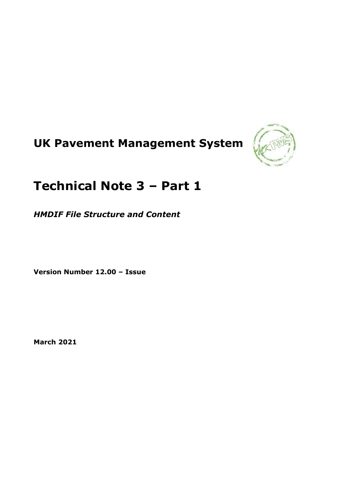# **UK Pavement Management System**



# **Technical Note 3 – Part 1**

*HMDIF File Structure and Content*

**Version Number 12.00 – Issue**

**March 2021**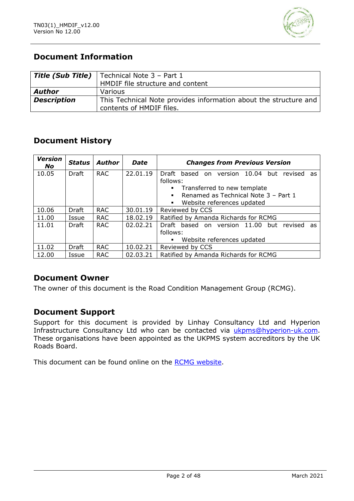

### **Document Information**

|                    | <b>Title (Sub Title)</b>   Technical Note $3$ – Part 1                                       |
|--------------------|----------------------------------------------------------------------------------------------|
|                    | HMDIF file structure and content                                                             |
| <b>Author</b>      | Various                                                                                      |
| <b>Description</b> | This Technical Note provides information about the structure and<br>contents of HMDIF files. |
|                    |                                                                                              |

### **Document History**

| <b>Version</b><br>No | <b>Status</b> | <b>Author</b> | <b>Date</b> | <b>Changes from Previous Version</b>                                                 |  |  |  |  |
|----------------------|---------------|---------------|-------------|--------------------------------------------------------------------------------------|--|--|--|--|
| 10.05                | Draft         | <b>RAC</b>    | 22.01.19    | 10.04 but<br>Draft<br>based on version<br>revised as<br>follows:                     |  |  |  |  |
|                      |               |               |             | Transferred to new template                                                          |  |  |  |  |
|                      |               |               |             | Renamed as Technical Note 3 - Part 1<br>Website references updated<br>$\blacksquare$ |  |  |  |  |
| 10.06                | Draft         | <b>RAC</b>    | 30.01.19    | Reviewed by CCS                                                                      |  |  |  |  |
| 11.00                | Issue         | <b>RAC</b>    | 18.02.19    | Ratified by Amanda Richards for RCMG                                                 |  |  |  |  |
| 11.01                | Draft         | <b>RAC</b>    | 02.02.21    | Draft based on version 11.00<br>but<br>revised<br>as                                 |  |  |  |  |
|                      |               |               |             | follows:                                                                             |  |  |  |  |
|                      |               |               |             | Website references updated<br>٠                                                      |  |  |  |  |
| 11.02                | Draft         | <b>RAC</b>    | 10.02.21    | Reviewed by CCS                                                                      |  |  |  |  |
| 12.00                | Issue         | <b>RAC</b>    | 02.03.21    | Ratified by Amanda Richards for RCMG                                                 |  |  |  |  |

### **Document Owner**

The owner of this document is the Road Condition Management Group (RCMG).

### **Document Support**

Support for this document is provided by Linhay Consultancy Ltd and Hyperion Infrastructure Consultancy Ltd who can be contacted via [ukpms@hyperion-uk.com.](mailto:ukpms@hyperion-uk.com) These organisations have been appointed as the UKPMS system accreditors by the UK Roads Board.

This document can be found online on the [RCMG website.](https://www.ciht.org.uk/ukrlg-home/guidance/road-condition-information/data-management/uk-pavement-management-system-ukpms/)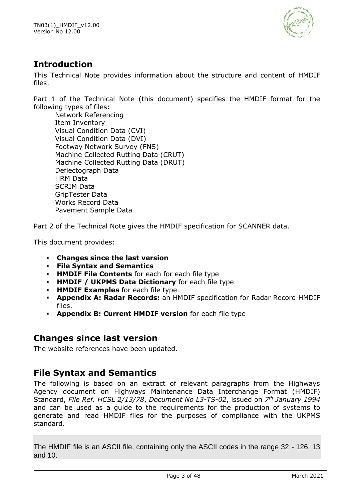

# **Introduction**

This Technical Note provides information about the structure and content of HMDIF files.

Part 1 of the Technical Note (this document) specifies the HMDIF format for the following types of files:

Network Referencing Item Inventory Visual Condition Data (CVI) Visual Condition Data (DVI) Footway Network Survey (FNS) Machine Collected Rutting Data (CRUT) Machine Collected Rutting Data (DRUT) Deflectograph Data HRM Data SCRIM Data GripTester Data Works Record Data Pavement Sample Data

Part 2 of the Technical Note gives the HMDIF specification for SCANNER data.

This document provides:

- **Changes since the last version**
- **File Syntax and Semantics**
- **· HMDIF File Contents** for each for each file type
- **HMDIF / UKPMS Data Dictionary** for each file type
- **HMDIF Examples** for each file type
- **Appendix A: Radar Records:** an HMDIF specification for Radar Record HMDIF files.
- Appendix B: Current HMDIF version for each file type

### **Changes since last version**

The website references have been updated.

# **File Syntax and Semantics**

The following is based on an extract of relevant paragraphs from the Highways Agency document on Highways Maintenance Data Interchange Format (HMDIF) Standard, *File Ref. HCSL 2/13/78*, *Document No L3-TS-02*, issued on *7 th January 1994* and can be used as a guide to the requirements for the production of systems to generate and read HMDIF files for the purposes of compliance with the UKPMS standard.

The HMDIF file is an ASCII file, containing only the ASCII codes in the range 32 - 126, 13 and 10.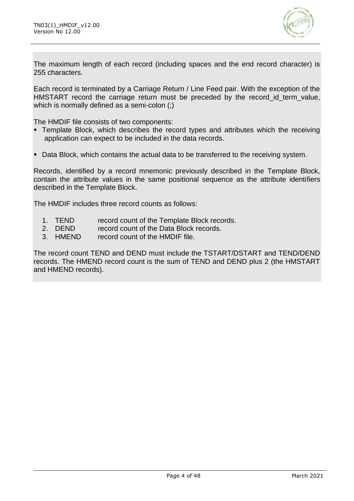

The maximum length of each record (including spaces and the end record character) is 255 characters.

Each record is terminated by a Carriage Return / Line Feed pair. With the exception of the HMSTART record the carriage return must be preceded by the record id term value, which is normally defined as a semi-colon (;)

The HMDIF file consists of two components:

- **EXTERUATE:** Template Block, which describes the record types and attributes which the receiving application can expect to be included in the data records.
- Data Block, which contains the actual data to be transferred to the receiving system.

Records, identified by a record mnemonic previously described in the Template Block, contain the attribute values in the same positional sequence as the attribute identifiers described in the Template Block.

The HMDIF includes three record counts as follows:

- 1. TEND record count of the Template Block records.
- 2. DEND record count of the Data Block records.
- 3. HMEND record count of the HMDIF file.

The record count TEND and DEND must include the TSTART/DSTART and TEND/DEND records. The HMEND record count is the sum of TEND and DEND plus 2 (the HMSTART and HMEND records).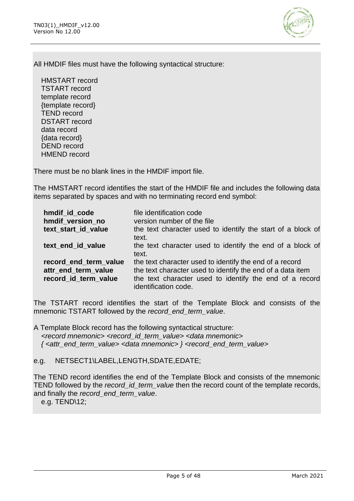

All HMDIF files must have the following syntactical structure:

HMSTART record TSTART record template record {template record} TEND record DSTART record data record {data record} DEND record HMEND record

There must be no blank lines in the HMDIF import file.

The HMSTART record identifies the start of the HMDIF file and includes the following data items separated by spaces and with no terminating record end symbol:

| hmdif id code<br>hmdif version no<br>text_start_id_value | file identification code<br>version number of the file<br>the text character used to identify the start of a block of |
|----------------------------------------------------------|-----------------------------------------------------------------------------------------------------------------------|
|                                                          | text.                                                                                                                 |
| text end id value                                        | the text character used to identify the end of a block of<br>text.                                                    |
| record_end_term_value                                    | the text character used to identify the end of a record                                                               |
| attr_end_term_value                                      | the text character used to identify the end of a data item                                                            |
| record_id_term_value                                     | the text character used to identify the end of a record<br>identification code.                                       |

The TSTART record identifies the start of the Template Block and consists of the mnemonic TSTART followed by the *record\_end\_term\_value*.

A Template Block record has the following syntactical structure: *<record mnemonic> <record\_id\_term\_value> <data mnemonic> { <attr\_end\_term\_value> <data mnemonic> } <record\_end\_term\_value>*

e.g. NETSECT1\LABEL,LENGTH,SDATE,EDATE;

The TEND record identifies the end of the Template Block and consists of the mnemonic TEND followed by the *record\_id\_term\_value* then the record count of the template records, and finally the *record\_end\_term\_value*.

e.g. TEND\12;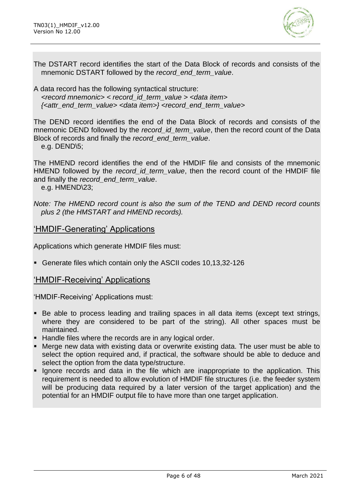

The DSTART record identifies the start of the Data Block of records and consists of the mnemonic DSTART followed by the *record\_end\_term\_value*.

A data record has the following syntactical structure: *<record mnemonic> < record\_id\_term\_value > <data item> {<attr\_end\_term\_value> <data item>} <record\_end\_term\_value>*

The DEND record identifies the end of the Data Block of records and consists of the mnemonic DEND followed by the *record id term value*, then the record count of the Data Block of records and finally the *record\_end\_term\_value*.

e.g. DEND\5;

The HMEND record identifies the end of the HMDIF file and consists of the mnemonic HMEND followed by the *record\_id\_term\_value*, then the record count of the HMDIF file and finally the *record\_end\_term\_value*.

e.g. HMEND\23;

*Note: The HMEND record count is also the sum of the TEND and DEND record counts plus 2 (the HMSTART and HMEND records).*

### 'HMDIF-Generating' Applications

Applications which generate HMDIF files must:

▪ Generate files which contain only the ASCII codes 10,13,32-126

#### 'HMDIF-Receiving' Applications

'HMDIF-Receiving' Applications must:

- Be able to process leading and trailing spaces in all data items (except text strings, where they are considered to be part of the string). All other spaces must be maintained.
- Handle files where the records are in any logical order.
- Merge new data with existing data or overwrite existing data. The user must be able to select the option required and, if practical, the software should be able to deduce and select the option from the data type/structure.
- **.** Ignore records and data in the file which are inappropriate to the application. This requirement is needed to allow evolution of HMDIF file structures (i.e. the feeder system will be producing data required by a later version of the target application) and the potential for an HMDIF output file to have more than one target application.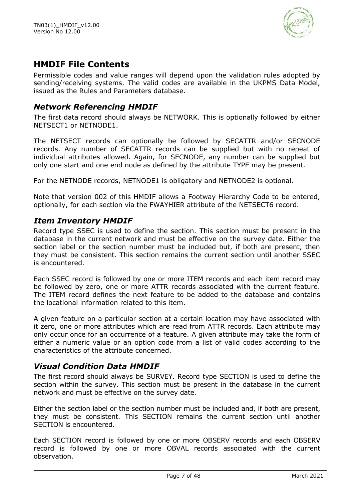

### **HMDIF File Contents**

Permissible codes and value ranges will depend upon the validation rules adopted by sending/receiving systems. The valid codes are available in the UKPMS Data Model, issued as the Rules and Parameters database.

### *Network Referencing HMDIF*

The first data record should always be NETWORK. This is optionally followed by either NETSECT1 or NETNODE1.

The NETSECT records can optionally be followed by SECATTR and/or SECNODE records. Any number of SECATTR records can be supplied but with no repeat of individual attributes allowed. Again, for SECNODE, any number can be supplied but only one start and one end node as defined by the attribute TYPE may be present.

For the NETNODE records, NETNODE1 is obligatory and NETNODE2 is optional.

Note that version 002 of this HMDIF allows a Footway Hierarchy Code to be entered, optionally, for each section via the FWAYHIER attribute of the NETSECT6 record.

### *Item Inventory HMDIF*

Record type SSEC is used to define the section. This section must be present in the database in the current network and must be effective on the survey date. Either the section label or the section number must be included but, if both are present, then they must be consistent. This section remains the current section until another SSEC is encountered.

Each SSEC record is followed by one or more ITEM records and each item record may be followed by zero, one or more ATTR records associated with the current feature. The ITEM record defines the next feature to be added to the database and contains the locational information related to this item.

A given feature on a particular section at a certain location may have associated with it zero, one or more attributes which are read from ATTR records. Each attribute may only occur once for an occurrence of a feature. A given attribute may take the form of either a numeric value or an option code from a list of valid codes according to the characteristics of the attribute concerned.

### *Visual Condition Data HMDIF*

The first record should always be SURVEY. Record type SECTION is used to define the section within the survey. This section must be present in the database in the current network and must be effective on the survey date.

Either the section label or the section number must be included and, if both are present, they must be consistent. This SECTION remains the current section until another SECTION is encountered.

Each SECTION record is followed by one or more OBSERV records and each OBSERV record is followed by one or more OBVAL records associated with the current observation.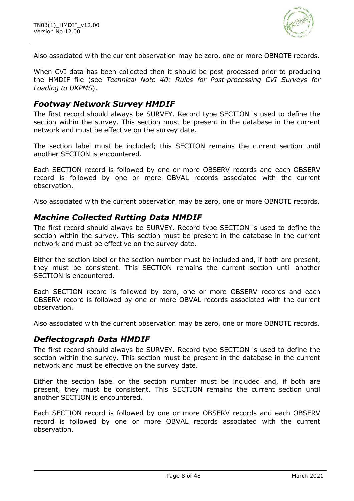

Also associated with the current observation may be zero, one or more OBNOTE records.

When CVI data has been collected then it should be post processed prior to producing the HMDIF file (see *Technical Note 40: Rules for Post-processing CVI Surveys for Loading to UKPMS*).

### *Footway Network Survey HMDIF*

The first record should always be SURVEY. Record type SECTION is used to define the section within the survey. This section must be present in the database in the current network and must be effective on the survey date.

The section label must be included; this SECTION remains the current section until another SECTION is encountered.

Each SECTION record is followed by one or more OBSERV records and each OBSERV record is followed by one or more OBVAL records associated with the current observation.

Also associated with the current observation may be zero, one or more OBNOTE records.

### *Machine Collected Rutting Data HMDIF*

The first record should always be SURVEY. Record type SECTION is used to define the section within the survey. This section must be present in the database in the current network and must be effective on the survey date.

Either the section label or the section number must be included and, if both are present, they must be consistent. This SECTION remains the current section until another SECTION is encountered.

Each SECTION record is followed by zero, one or more OBSERV records and each OBSERV record is followed by one or more OBVAL records associated with the current observation.

Also associated with the current observation may be zero, one or more OBNOTE records.

### *Deflectograph Data HMDIF*

The first record should always be SURVEY. Record type SECTION is used to define the section within the survey. This section must be present in the database in the current network and must be effective on the survey date.

Either the section label or the section number must be included and, if both are present, they must be consistent. This SECTION remains the current section until another SECTION is encountered.

Each SECTION record is followed by one or more OBSERV records and each OBSERV record is followed by one or more OBVAL records associated with the current observation.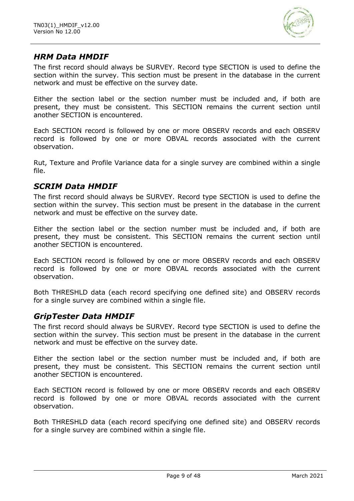

### *HRM Data HMDIF*

The first record should always be SURVEY. Record type SECTION is used to define the section within the survey. This section must be present in the database in the current network and must be effective on the survey date.

Either the section label or the section number must be included and, if both are present, they must be consistent. This SECTION remains the current section until another SECTION is encountered.

Each SECTION record is followed by one or more OBSERV records and each OBSERV record is followed by one or more OBVAL records associated with the current observation.

Rut, Texture and Profile Variance data for a single survey are combined within a single file.

### *SCRIM Data HMDIF*

The first record should always be SURVEY. Record type SECTION is used to define the section within the survey. This section must be present in the database in the current network and must be effective on the survey date.

Either the section label or the section number must be included and, if both are present, they must be consistent. This SECTION remains the current section until another SECTION is encountered.

Each SECTION record is followed by one or more OBSERV records and each OBSERV record is followed by one or more OBVAL records associated with the current observation.

Both THRESHLD data (each record specifying one defined site) and OBSERV records for a single survey are combined within a single file.

### *GripTester Data HMDIF*

The first record should always be SURVEY. Record type SECTION is used to define the section within the survey. This section must be present in the database in the current network and must be effective on the survey date.

Either the section label or the section number must be included and, if both are present, they must be consistent. This SECTION remains the current section until another SECTION is encountered.

Each SECTION record is followed by one or more OBSERV records and each OBSERV record is followed by one or more OBVAL records associated with the current observation.

Both THRESHLD data (each record specifying one defined site) and OBSERV records for a single survey are combined within a single file.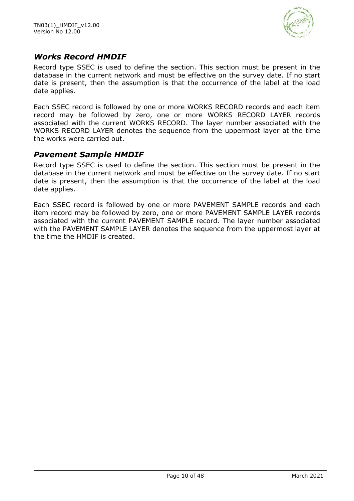

### *Works Record HMDIF*

Record type SSEC is used to define the section. This section must be present in the database in the current network and must be effective on the survey date. If no start date is present, then the assumption is that the occurrence of the label at the load date applies.

Each SSEC record is followed by one or more WORKS RECORD records and each item record may be followed by zero, one or more WORKS RECORD LAYER records associated with the current WORKS RECORD. The layer number associated with the WORKS RECORD LAYER denotes the sequence from the uppermost layer at the time the works were carried out.

### *Pavement Sample HMDIF*

Record type SSEC is used to define the section. This section must be present in the database in the current network and must be effective on the survey date. If no start date is present, then the assumption is that the occurrence of the label at the load date applies.

Each SSEC record is followed by one or more PAVEMENT SAMPLE records and each item record may be followed by zero, one or more PAVEMENT SAMPLE LAYER records associated with the current PAVEMENT SAMPLE record. The layer number associated with the PAVEMENT SAMPLE LAYER denotes the sequence from the uppermost layer at the time the HMDIF is created.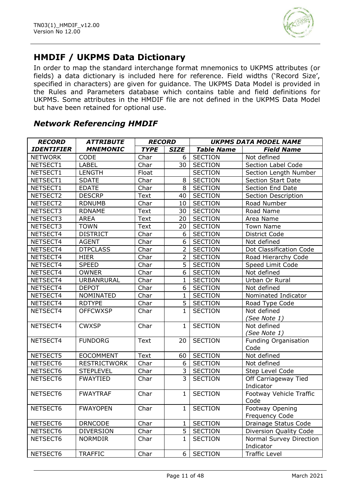

# **HMDIF / UKPMS Data Dictionary**

In order to map the standard interchange format mnemonics to UKPMS attributes (or fields) a data dictionary is included here for reference. Field widths ('Record Size', specified in characters) are given for guidance. The UKPMS Data Model is provided in the Rules and Parameters database which contains table and field definitions for UKPMS. Some attributes in the HMDIF file are not defined in the UKPMS Data Model but have been retained for optional use.

### *Network Referencing HMDIF*

| <b>RECORD</b>     | <b>ATTRIBUTE</b>    | <b>RECORD</b> |                | <b>UKPMS DATA MODEL NAME</b> |                             |  |
|-------------------|---------------------|---------------|----------------|------------------------------|-----------------------------|--|
| <b>IDENTIFIER</b> | <b>MNEMONIC</b>     | <b>TYPE</b>   | <b>SIZE</b>    | <b>Table Name</b>            | <b>Field Name</b>           |  |
| <b>NETWORK</b>    | CODE                | Char          | 6              | <b>SECTION</b>               | Not defined                 |  |
| NETSECT1          | <b>LABEL</b>        | Char          | 30             | <b>SECTION</b>               | Section Label Code          |  |
| NETSECT1          | <b>LENGTH</b>       | Float         |                | <b>SECTION</b>               | Section Length Number       |  |
| NETSECT1          | <b>SDATE</b>        | Char          | 8              | <b>SECTION</b>               | <b>Section Start Date</b>   |  |
| NETSECT1          | <b>EDATE</b>        | Char          | 8              | <b>SECTION</b>               | Section End Date            |  |
| NETSECT2          | <b>DESCRP</b>       | <b>Text</b>   | 40             | <b>SECTION</b>               | Section Description         |  |
| NETSECT2          | <b>RDNUMB</b>       | Char          | 10             | <b>SECTION</b>               | Road Number                 |  |
| NETSECT3          | <b>RDNAME</b>       | <b>Text</b>   | 30             | <b>SECTION</b>               | Road Name                   |  |
| NETSECT3          | <b>AREA</b>         | <b>Text</b>   | 20             | <b>SECTION</b>               | Area Name                   |  |
| NETSECT3          | <b>TOWN</b>         | <b>Text</b>   | 20             | <b>SECTION</b>               | <b>Town Name</b>            |  |
| NETSECT4          | <b>DISTRICT</b>     | Char          | 6              | <b>SECTION</b>               | District Code               |  |
| NETSECT4          | <b>AGENT</b>        | Char          | 6              | <b>SECTION</b>               | Not defined                 |  |
| NETSECT4          | <b>DTPCLASS</b>     | Char          | $\overline{2}$ | <b>SECTION</b>               | Dot Classification Code     |  |
| NETSECT4          | <b>HIER</b>         | Char          | $\overline{2}$ | <b>SECTION</b>               | Road Hierarchy Code         |  |
| NETSECT4          | <b>SPEED</b>        | Char          | $\overline{5}$ | <b>SECTION</b>               | Speed Limit Code            |  |
| NETSECT4          | <b>OWNER</b>        | Char          | 6              | <b>SECTION</b>               | Not defined                 |  |
| NETSECT4          | URBANRURAL          | Char          | $\mathbf{1}$   | <b>SECTION</b>               | Urban Or Rural              |  |
| NETSECT4          | <b>DEPOT</b>        | Char          | 6              | <b>SECTION</b>               | Not defined                 |  |
| NETSECT4          | NOMINATED           | Char          | $\mathbf{1}$   | <b>SECTION</b>               | Nominated Indicator         |  |
| NETSECT4          | <b>RDTYPE</b>       | Char          | 5              | <b>SECTION</b>               | Road Type Code              |  |
| NETSECT4          | <b>OFFCWXSP</b>     | Char          | $\mathbf{1}$   | <b>SECTION</b>               | Not defined                 |  |
|                   |                     |               |                |                              | (See Note 1)                |  |
| NETSECT4          | <b>CWXSP</b>        | Char          | $\mathbf{1}$   | <b>SECTION</b>               | Not defined                 |  |
|                   |                     |               |                |                              | (See Note 1)                |  |
| NETSECT4          | <b>FUNDORG</b>      | Text          | 20             | <b>SECTION</b>               | <b>Funding Organisation</b> |  |
|                   |                     |               |                |                              | Code                        |  |
| NETSECT5          | <b>EOCOMMENT</b>    | Text          | 60             | <b>SECTION</b>               | Not defined                 |  |
| NETSECT6          | <b>RESTRICTWORK</b> | Char          | 6              | <b>SECTION</b>               | Not defined                 |  |
| NETSECT6          | <b>STEPLEVEL</b>    | Char          | 3              | <b>SECTION</b>               | Step Level Code             |  |
| NETSECT6          | <b>FWAYTIED</b>     | Char          | 3              | <b>SECTION</b>               | Off Carriageway Tied        |  |
|                   |                     |               |                |                              | Indicator                   |  |
| NETSECT6          | <b>FWAYTRAF</b>     | Char          | $\mathbf{1}$   | <b>SECTION</b>               | Footway Vehicle Traffic     |  |
|                   |                     |               |                |                              | Code                        |  |
| NETSECT6          | <b>FWAYOPEN</b>     | Char          | 1              | <b>SECTION</b>               | Footway Opening             |  |
|                   |                     |               |                |                              | Frequency Code              |  |
| NETSECT6          | <b>DRNCODE</b>      | Char          | 1              | <b>SECTION</b>               | Drainage Status Code        |  |
| NETSECT6          | <b>DIVERSION</b>    | Char          | 5              | <b>SECTION</b>               | Diversion Quality Code      |  |
| NETSECT6          | <b>NORMDIR</b>      | Char          | $\mathbf{1}$   | <b>SECTION</b>               | Normal Survey Direction     |  |
|                   |                     |               |                |                              | Indicator                   |  |
| NETSECT6          | <b>TRAFFIC</b>      | Char          | 6              | <b>SECTION</b>               | <b>Traffic Level</b>        |  |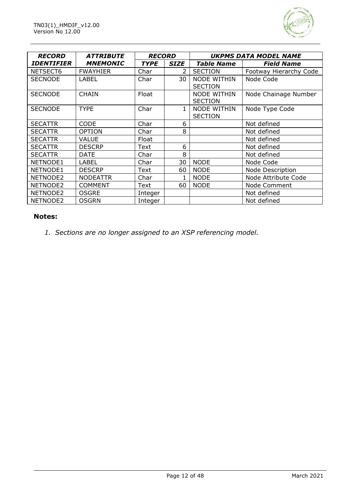

| <b>RECORD</b>     | <b>ATTRIBUTE</b> | <b>RECORD</b> |              |                                      | <b>UKPMS DATA MODEL NAME</b> |  |
|-------------------|------------------|---------------|--------------|--------------------------------------|------------------------------|--|
| <b>IDENTIFIER</b> | <b>MNEMONIC</b>  | <b>TYPE</b>   | <b>SIZE</b>  | <b>Table Name</b>                    | <b>Field Name</b>            |  |
| NETSECT6          | <b>FWAYHIER</b>  | Char          | 2            | <b>SECTION</b>                       | Footway Hierarchy Code       |  |
| <b>SECNODE</b>    | LABEL            | Char          | 30           | <b>NODE WITHIN</b>                   | Node Code                    |  |
|                   |                  |               |              | <b>SECTION</b>                       |                              |  |
| <b>SECNODE</b>    | <b>CHAIN</b>     | Float         |              | <b>NODE WITHIN</b><br><b>SECTION</b> | Node Chainage Number         |  |
| <b>SECNODE</b>    | <b>TYPE</b>      | Char          | $\mathbf{1}$ | <b>NODE WITHIN</b>                   | Node Type Code               |  |
|                   |                  |               |              | <b>SECTION</b>                       |                              |  |
| <b>SECATTR</b>    | <b>CODE</b>      | Char          | 6            |                                      | Not defined                  |  |
| <b>SECATTR</b>    | <b>OPTION</b>    | Char          | 8            |                                      | Not defined                  |  |
| <b>SECATTR</b>    | <b>VALUE</b>     | Float         |              |                                      | Not defined                  |  |
| <b>SECATTR</b>    | <b>DESCRP</b>    | Text          | 6            |                                      | Not defined                  |  |
| <b>SECATTR</b>    | <b>DATE</b>      | Char          | 8            |                                      | Not defined                  |  |
| NETNODE1          | <b>LABEL</b>     | Char          | 30           | <b>NODE</b>                          | Node Code                    |  |
| NETNODE1          | <b>DESCRP</b>    | Text          | 60           | <b>NODE</b>                          | Node Description             |  |
| NETNODE2          | <b>NODEATTR</b>  | Char          |              | <b>NODE</b>                          | Node Attribute Code          |  |
| NETNODE2          | <b>COMMENT</b>   | Text          | 60           | <b>NODE</b>                          | Node Comment                 |  |
| NETNODE2          | <b>OSGRE</b>     | Integer       |              |                                      | Not defined                  |  |
| NETNODE2          | <b>OSGRN</b>     | Integer       |              |                                      | Not defined                  |  |

#### **Notes:**

*1. Sections are no longer assigned to an XSP referencing model.*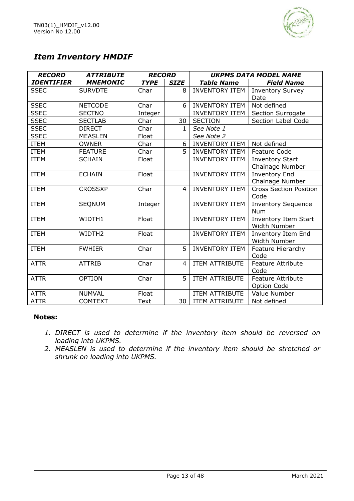

# *Item Inventory HMDIF*

| <b>RECORD</b>     | <b>ATTRIBUTE</b> | <b>RECORD</b> |              | <b>UKPMS DATA MODEL NAME</b> |                               |  |
|-------------------|------------------|---------------|--------------|------------------------------|-------------------------------|--|
| <b>IDENTIFIER</b> | <b>MNEMONIC</b>  | <b>TYPE</b>   | <b>SIZE</b>  | <b>Table Name</b>            | <b>Field Name</b>             |  |
| <b>SSEC</b>       | <b>SURVDTE</b>   | Char          | 8            | <b>INVENTORY ITEM</b>        | <b>Inventory Survey</b>       |  |
|                   |                  |               |              |                              | Date                          |  |
| <b>SSEC</b>       | <b>NETCODE</b>   | Char          | 6            | <b>INVENTORY ITEM</b>        | Not defined                   |  |
| <b>SSEC</b>       | <b>SECTNO</b>    | Integer       |              | <b>INVENTORY ITEM</b>        | Section Surrogate             |  |
| <b>SSEC</b>       | <b>SECTLAB</b>   | Char          | 30           | <b>SECTION</b>               | Section Label Code            |  |
| <b>SSEC</b>       | <b>DIRECT</b>    | Char          | $\mathbf{1}$ | See Note 1                   |                               |  |
| <b>SSEC</b>       | <b>MEASLEN</b>   | Float         |              | See Note 2                   |                               |  |
| <b>ITEM</b>       | <b>OWNER</b>     | Char          | 6            | <b>INVENTORY ITEM</b>        | Not defined                   |  |
| <b>ITEM</b>       | <b>FEATURE</b>   | Char          | 5            | <b>INVENTORY ITEM</b>        | Feature Code                  |  |
| <b>ITEM</b>       | <b>SCHAIN</b>    | Float         |              | <b>INVENTORY ITEM</b>        | <b>Inventory Start</b>        |  |
|                   |                  |               |              |                              | Chainage Number               |  |
| <b>ITEM</b>       | <b>ECHAIN</b>    | Float         |              | <b>INVENTORY ITEM</b>        | <b>Inventory End</b>          |  |
|                   |                  |               |              |                              | Chainage Number               |  |
| <b>ITEM</b>       | <b>CROSSXP</b>   | Char          | 4            | <b>INVENTORY ITEM</b>        | <b>Cross Section Position</b> |  |
|                   |                  |               |              |                              | Code                          |  |
| <b>ITEM</b>       | <b>SEQNUM</b>    | Integer       |              | <b>INVENTORY ITEM</b>        | <b>Inventory Sequence</b>     |  |
|                   |                  |               |              |                              | <b>Num</b>                    |  |
| <b>ITEM</b>       | WIDTH1           | Float         |              | <b>INVENTORY ITEM</b>        | Inventory Item Start          |  |
|                   |                  |               |              |                              | <b>Width Number</b>           |  |
| <b>ITEM</b>       | WIDTH2           | Float         |              | <b>INVENTORY ITEM</b>        | <b>Inventory Item End</b>     |  |
|                   |                  |               |              |                              | Width Number                  |  |
| <b>ITEM</b>       | <b>FWHIER</b>    | Char          | 5            | <b>INVENTORY ITEM</b>        | Feature Hierarchy             |  |
|                   |                  |               |              |                              | Code                          |  |
| <b>ATTR</b>       | <b>ATTRIB</b>    | Char          | 4            | ITEM ATTRIBUTE               | <b>Feature Attribute</b>      |  |
|                   |                  |               |              |                              | Code                          |  |
| <b>ATTR</b>       | <b>OPTION</b>    | Char          | 5            | <b>ITEM ATTRIBUTE</b>        | Feature Attribute             |  |
|                   |                  |               |              |                              | Option Code                   |  |
| <b>ATTR</b>       | <b>NUMVAL</b>    | Float         |              | <b>ITEM ATTRIBUTE</b>        | Value Number                  |  |
| <b>ATTR</b>       | <b>COMTEXT</b>   | Text          | 30           | <b>ITEM ATTRIBUTE</b>        | Not defined                   |  |

#### **Notes:**

- *1. DIRECT is used to determine if the inventory item should be reversed on loading into UKPMS.*
- *2. MEASLEN is used to determine if the inventory item should be stretched or shrunk on loading into UKPMS.*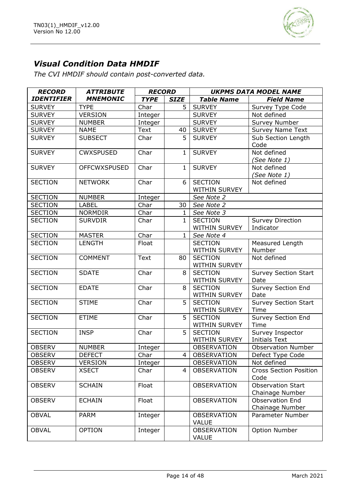

# *Visual Condition Data HMDIF*

*The CVI HMDIF should contain post-converted data.*

| <b>RECORD</b>     | <b>ATTRIBUTE</b>    | <b>RECORD</b> |              | <b>UKPMS DATA MODEL NAME</b>           |                                             |
|-------------------|---------------------|---------------|--------------|----------------------------------------|---------------------------------------------|
| <b>IDENTIFIER</b> | <b>MNEMONIC</b>     | <b>TYPE</b>   | <b>SIZE</b>  | <b>Table Name</b>                      | <b>Field Name</b>                           |
| <b>SURVEY</b>     | <b>TYPE</b>         | Char          | 5            | <b>SURVEY</b>                          | Survey Type Code                            |
| <b>SURVEY</b>     | <b>VERSION</b>      | Integer       |              | <b>SURVEY</b>                          | Not defined                                 |
| <b>SURVEY</b>     | <b>NUMBER</b>       | Integer       |              | <b>SURVEY</b>                          | Survey Number                               |
| <b>SURVEY</b>     | <b>NAME</b>         | Text          | 40           | <b>SURVEY</b>                          | Survey Name Text                            |
| <b>SURVEY</b>     | <b>SUBSECT</b>      | Char          | 5            | <b>SURVEY</b>                          | Sub Section Length<br>Code                  |
| <b>SURVEY</b>     | <b>CWXSPUSED</b>    | Char          | $\mathbf{1}$ | <b>SURVEY</b>                          | Not defined<br>(See Note 1)                 |
| <b>SURVEY</b>     | <b>OFFCWXSPUSED</b> | Char          | 1            | <b>SURVEY</b>                          | Not defined<br>(See Note 1)                 |
| <b>SECTION</b>    | <b>NETWORK</b>      | Char          | 6            | <b>SECTION</b><br>WITHIN SURVEY        | Not defined                                 |
| <b>SECTION</b>    | <b>NUMBER</b>       | Integer       |              | See Note 2                             |                                             |
| <b>SECTION</b>    | <b>LABEL</b>        | Char          | 30           | See Note 2                             |                                             |
| <b>SECTION</b>    | <b>NORMDIR</b>      | Char          | 1            | See Note 3                             |                                             |
| <b>SECTION</b>    | <b>SURVDIR</b>      | Char          | $\mathbf{1}$ | <b>SECTION</b><br>WITHIN SURVEY        | <b>Survey Direction</b><br>Indicator        |
| <b>SECTION</b>    | <b>MASTER</b>       | Char          | 1            | See Note 4                             |                                             |
| <b>SECTION</b>    | <b>LENGTH</b>       | Float         |              | <b>SECTION</b><br>WITHIN SURVEY        | Measured Length<br>Number                   |
| <b>SECTION</b>    | <b>COMMENT</b>      | Text          | 80           | <b>SECTION</b><br><b>WITHIN SURVEY</b> | Not defined                                 |
| <b>SECTION</b>    | <b>SDATE</b>        | Char          | 8            | <b>SECTION</b><br><b>WITHIN SURVEY</b> | <b>Survey Section Start</b><br>Date         |
| <b>SECTION</b>    | <b>EDATE</b>        | Char          | 8            | <b>SECTION</b><br>WITHIN SURVEY        | Survey Section End<br>Date                  |
| <b>SECTION</b>    | <b>STIME</b>        | Char          | 5            | <b>SECTION</b><br><b>WITHIN SURVEY</b> | Survey Section Start<br>Time                |
| <b>SECTION</b>    | <b>ETIME</b>        | Char          | 5            | <b>SECTION</b><br>WITHIN SURVEY        | Survey Section End<br>Time                  |
| <b>SECTION</b>    | <b>INSP</b>         | Char          | 5            | <b>SECTION</b><br>WITHIN SURVEY        | Survey Inspector<br><b>Initials Text</b>    |
| <b>OBSERV</b>     | <b>NUMBER</b>       | Integer       |              | <b>OBSERVATION</b>                     | <b>Observation Number</b>                   |
| <b>OBSERV</b>     | <b>DEFECT</b>       | Char          | 4            | OBSERVATION                            | Defect Type Code                            |
| <b>OBSERV</b>     | <b>VERSION</b>      | Integer       |              | <b>OBSERVATION</b>                     | Not defined                                 |
| <b>OBSERV</b>     | <b>XSECT</b>        | Char          | 4            | <b>OBSERVATION</b>                     | <b>Cross Section Position</b><br>Code       |
| <b>OBSERV</b>     | <b>SCHAIN</b>       | Float         |              | <b>OBSERVATION</b>                     | <b>Observation Start</b><br>Chainage Number |
| <b>OBSERV</b>     | <b>ECHAIN</b>       | Float         |              | <b>OBSERVATION</b>                     | <b>Observation End</b><br>Chainage Number   |
| <b>OBVAL</b>      | <b>PARM</b>         | Integer       |              | <b>OBSERVATION</b><br><b>VALUE</b>     | Parameter Number                            |
| <b>OBVAL</b>      | <b>OPTION</b>       | Integer       |              | <b>OBSERVATION</b><br><b>VALUE</b>     | Option Number                               |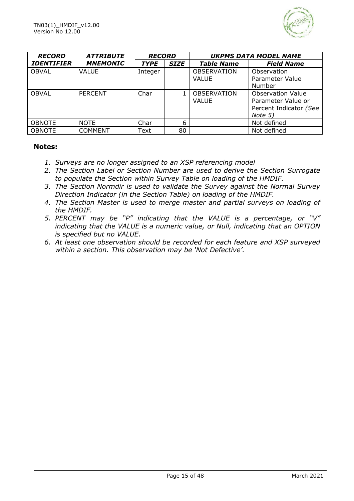

| <b>RECORD</b>     | <i><b>ATTRIBUTE</b></i> | <b>RECORD</b> |             |                                    | <b>UKPMS DATA MODEL NAME</b>                                                        |
|-------------------|-------------------------|---------------|-------------|------------------------------------|-------------------------------------------------------------------------------------|
| <b>IDENTIFIER</b> | <b>MNEMONIC</b>         | <b>TYPE</b>   | <b>SIZE</b> | <b>Table Name</b>                  | <b>Field Name</b>                                                                   |
| <b>OBVAL</b>      | <b>VALUE</b>            | Integer       |             | <b>OBSERVATION</b><br><b>VALUE</b> | Observation<br>Parameter Value<br>Number                                            |
| <b>OBVAL</b>      | <b>PERCENT</b>          | Char          |             | <b>OBSERVATION</b><br>VALUE        | <b>Observation Value</b><br>Parameter Value or<br>Percent Indicator (See<br>Note 5) |
| <b>OBNOTE</b>     | <b>NOTE</b>             | Char          | 6           |                                    | Not defined                                                                         |
| <b>OBNOTE</b>     | <b>COMMENT</b>          | Text          | 80          |                                    | Not defined                                                                         |

#### **Notes:**

- *1. Surveys are no longer assigned to an XSP referencing model*
- *2. The Section Label or Section Number are used to derive the Section Surrogate to populate the Section within Survey Table on loading of the HMDIF.*
- *3. The Section Normdir is used to validate the Survey against the Normal Survey Direction Indicator (in the Section Table) on loading of the HMDIF.*
- *4. The Section Master is used to merge master and partial surveys on loading of the HMDIF.*
- *5. PERCENT may be "P" indicating that the VALUE is a percentage, or "V" indicating that the VALUE is a numeric value, or Null, indicating that an OPTION is specified but no VALUE.*
- *6. At least one observation should be recorded for each feature and XSP surveyed within a section. This observation may be 'Not Defective'.*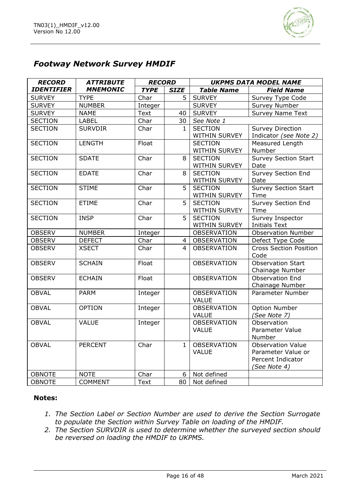

### *Footway Network Survey HMDIF*

| <b>RECORD</b>     | <b>ATTRIBUTE</b> | <b>RECORD</b> |                | <b>UKPMS DATA MODEL NAME</b> |                               |  |
|-------------------|------------------|---------------|----------------|------------------------------|-------------------------------|--|
| <b>IDENTIFIER</b> | <b>MNEMONIC</b>  | <b>TYPE</b>   | <b>SIZE</b>    | <b>Table Name</b>            | <b>Field Name</b>             |  |
| <b>SURVEY</b>     | <b>TYPE</b>      | Char          | 5              | <b>SURVEY</b>                | Survey Type Code              |  |
| <b>SURVEY</b>     | <b>NUMBER</b>    | Integer       |                | <b>SURVEY</b>                | <b>Survey Number</b>          |  |
| <b>SURVEY</b>     | <b>NAME</b>      | Text          | 40             | <b>SURVEY</b>                | <b>Survey Name Text</b>       |  |
| <b>SECTION</b>    | <b>LABEL</b>     | Char          | 30             | See Note 1                   |                               |  |
| <b>SECTION</b>    | <b>SURVDIR</b>   | Char          | $\mathbf{1}$   | <b>SECTION</b>               | <b>Survey Direction</b>       |  |
|                   |                  |               |                | WITHIN SURVEY                | Indicator (see Note 2)        |  |
| <b>SECTION</b>    | <b>LENGTH</b>    | Float         |                | <b>SECTION</b>               | <b>Measured Length</b>        |  |
|                   |                  |               |                | WITHIN SURVEY                | Number                        |  |
| <b>SECTION</b>    | <b>SDATE</b>     | Char          | 8              | <b>SECTION</b>               | <b>Survey Section Start</b>   |  |
|                   |                  |               |                | WITHIN SURVEY                | Date                          |  |
| <b>SECTION</b>    | <b>EDATE</b>     | Char          | 8              | <b>SECTION</b>               | <b>Survey Section End</b>     |  |
|                   |                  |               |                | WITHIN SURVEY                | Date                          |  |
| <b>SECTION</b>    | <b>STIME</b>     | Char          | 5              | <b>SECTION</b>               | <b>Survey Section Start</b>   |  |
|                   |                  |               |                | WITHIN SURVEY                | Time                          |  |
| <b>SECTION</b>    | <b>ETIME</b>     | Char          | 5              | <b>SECTION</b>               | Survey Section End            |  |
|                   |                  |               |                | WITHIN SURVEY                | Time                          |  |
| <b>SECTION</b>    | <b>INSP</b>      | Char          | 5              | <b>SECTION</b>               | <b>Survey Inspector</b>       |  |
|                   |                  |               |                | WITHIN SURVEY                | <b>Initials Text</b>          |  |
| <b>OBSERV</b>     | <b>NUMBER</b>    | Integer       |                | <b>OBSERVATION</b>           | <b>Observation Number</b>     |  |
| <b>OBSERV</b>     | <b>DEFECT</b>    | Char          | $\overline{4}$ | <b>OBSERVATION</b>           | Defect Type Code              |  |
| <b>OBSERV</b>     | <b>XSECT</b>     | Char          | 4              | <b>OBSERVATION</b>           | <b>Cross Section Position</b> |  |
|                   |                  |               |                |                              | Code                          |  |
| <b>OBSERV</b>     | <b>SCHAIN</b>    | Float         |                | <b>OBSERVATION</b>           | <b>Observation Start</b>      |  |
|                   |                  |               |                |                              | Chainage Number               |  |
| <b>OBSERV</b>     | <b>ECHAIN</b>    | Float         |                | <b>OBSERVATION</b>           | Observation End               |  |
|                   |                  |               |                |                              | Chainage Number               |  |
| <b>OBVAL</b>      | <b>PARM</b>      | Integer       |                | <b>OBSERVATION</b>           | Parameter Number              |  |
|                   |                  |               |                | <b>VALUE</b>                 |                               |  |
| <b>OBVAL</b>      | <b>OPTION</b>    | Integer       |                | <b>OBSERVATION</b>           | <b>Option Number</b>          |  |
|                   |                  |               |                | <b>VALUE</b>                 | (See Note 7)                  |  |
| <b>OBVAL</b>      | <b>VALUE</b>     | Integer       |                | <b>OBSERVATION</b>           | Observation                   |  |
|                   |                  |               |                | <b>VALUE</b>                 | Parameter Value               |  |
|                   |                  |               |                |                              | Number                        |  |
| <b>OBVAL</b>      | <b>PERCENT</b>   | Char          | $\mathbf{1}$   | <b>OBSERVATION</b>           | <b>Observation Value</b>      |  |
|                   |                  |               |                | <b>VALUE</b>                 | Parameter Value or            |  |
|                   |                  |               |                |                              | Percent Indicator             |  |
| <b>OBNOTE</b>     | <b>NOTE</b>      | Char          | 6              | Not defined                  | (See Note 4)                  |  |
|                   |                  |               |                |                              |                               |  |
| <b>OBNOTE</b>     | <b>COMMENT</b>   | Text          | 80             | Not defined                  |                               |  |

#### **Notes:**

- *1. The Section Label or Section Number are used to derive the Section Surrogate to populate the Section within Survey Table on loading of the HMDIF.*
- *2. The Section SURVDIR is used to determine whether the surveyed section should be reversed on loading the HMDIF to UKPMS.*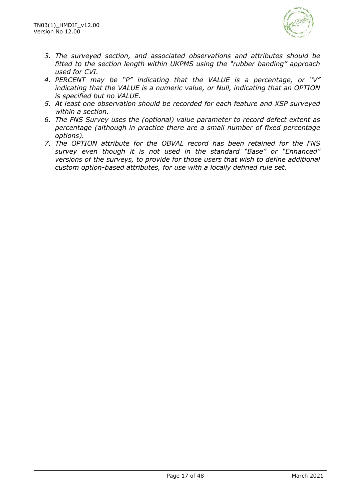

- *3. The surveyed section, and associated observations and attributes should be fitted to the section length within UKPMS using the "rubber banding" approach used for CVI.*
- *4. PERCENT may be "P" indicating that the VALUE is a percentage, or "V" indicating that the VALUE is a numeric value, or Null, indicating that an OPTION is specified but no VALUE.*
- *5. At least one observation should be recorded for each feature and XSP surveyed within a section.*
- *6. The FNS Survey uses the (optional) value parameter to record defect extent as percentage (although in practice there are a small number of fixed percentage options).*
- *7. The OPTION attribute for the OBVAL record has been retained for the FNS survey even though it is not used in the standard "Base" or "Enhanced" versions of the surveys, to provide for those users that wish to define additional custom option-based attributes, for use with a locally defined rule set.*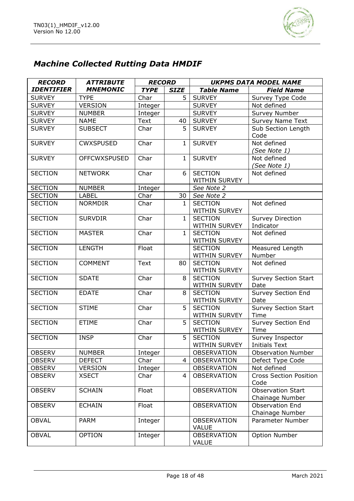

# *Machine Collected Rutting Data HMDIF*

| <b>RECORD</b>     | <b>ATTRIBUTE</b>    | <b>RECORD</b> |              | <b>UKPMS DATA MODEL NAME</b>           |                                             |  |
|-------------------|---------------------|---------------|--------------|----------------------------------------|---------------------------------------------|--|
| <b>IDENTIFIER</b> | <b>MNEMONIC</b>     | <b>TYPE</b>   | <b>SIZE</b>  | <b>Table Name</b>                      | <b>Field Name</b>                           |  |
| <b>SURVEY</b>     | <b>TYPE</b>         | Char          | 5            | <b>SURVEY</b>                          | Survey Type Code                            |  |
| <b>SURVEY</b>     | <b>VERSION</b>      | Integer       |              | <b>SURVEY</b>                          | Not defined                                 |  |
| <b>SURVEY</b>     | <b>NUMBER</b>       | Integer       |              | <b>SURVEY</b>                          | Survey Number                               |  |
| <b>SURVEY</b>     | <b>NAME</b>         | Text          | 40           | <b>SURVEY</b>                          | <b>Survey Name Text</b>                     |  |
| <b>SURVEY</b>     | <b>SUBSECT</b>      | Char          | 5            | <b>SURVEY</b>                          | Sub Section Length                          |  |
|                   |                     |               |              |                                        | Code                                        |  |
| <b>SURVEY</b>     | <b>CWXSPUSED</b>    | Char          | $\mathbf{1}$ | <b>SURVEY</b>                          | Not defined<br>(See Note 1)                 |  |
| <b>SURVEY</b>     | <b>OFFCWXSPUSED</b> | Char          | $\mathbf{1}$ | <b>SURVEY</b>                          | Not defined<br>(See Note 1)                 |  |
| <b>SECTION</b>    | <b>NETWORK</b>      | Char          | 6            | <b>SECTION</b><br>WITHIN SURVEY        | Not defined                                 |  |
| <b>SECTION</b>    | <b>NUMBER</b>       | Integer       |              | See Note 2                             |                                             |  |
| <b>SECTION</b>    | <b>LABEL</b>        | Char          | 30           | See Note 2                             |                                             |  |
| <b>SECTION</b>    | <b>NORMDIR</b>      | Char          | $\mathbf{1}$ | <b>SECTION</b>                         | Not defined                                 |  |
|                   |                     |               |              | WITHIN SURVEY                          |                                             |  |
| <b>SECTION</b>    | <b>SURVDIR</b>      | Char          | 1            | <b>SECTION</b><br><b>WITHIN SURVEY</b> | <b>Survey Direction</b><br>Indicator        |  |
| <b>SECTION</b>    | <b>MASTER</b>       | Char          | $\mathbf{1}$ | <b>SECTION</b><br><b>WITHIN SURVEY</b> | Not defined                                 |  |
| <b>SECTION</b>    | <b>LENGTH</b>       | Float         |              | <b>SECTION</b><br>WITHIN SURVEY        | Measured Length<br>Number                   |  |
| <b>SECTION</b>    | <b>COMMENT</b>      | <b>Text</b>   | 80           | <b>SECTION</b><br>WITHIN SURVEY        | Not defined                                 |  |
| <b>SECTION</b>    | <b>SDATE</b>        | Char          | 8            | <b>SECTION</b><br>WITHIN SURVEY        | <b>Survey Section Start</b><br>Date         |  |
| <b>SECTION</b>    | <b>EDATE</b>        | Char          | 8            | <b>SECTION</b><br>WITHIN SURVEY        | <b>Survey Section End</b><br>Date           |  |
| <b>SECTION</b>    | <b>STIME</b>        | Char          | 5            | <b>SECTION</b><br>WITHIN SURVEY        | <b>Survey Section Start</b><br>Time         |  |
| <b>SECTION</b>    | <b>ETIME</b>        | Char          | 5            | <b>SECTION</b><br>WITHIN SURVEY        | Survey Section End<br>Time                  |  |
| <b>SECTION</b>    | <b>INSP</b>         | Char          | 5            | <b>SECTION</b><br>WITHIN SURVEY        | Survey Inspector<br><b>Initials Text</b>    |  |
| <b>OBSERV</b>     | <b>NUMBER</b>       | Integer       |              | <b>OBSERVATION</b>                     | <b>Observation Number</b>                   |  |
| <b>OBSERV</b>     | <b>DEFECT</b>       | Char          | 4            | <b>OBSERVATION</b>                     | Defect Type Code                            |  |
| <b>OBSERV</b>     | <b>VERSION</b>      | Integer       |              | <b>OBSERVATION</b>                     | Not defined                                 |  |
| <b>OBSERV</b>     | <b>XSECT</b>        | Char          | 4            | <b>OBSERVATION</b>                     | <b>Cross Section Position</b><br>Code       |  |
| <b>OBSERV</b>     | <b>SCHAIN</b>       | Float         |              | <b>OBSERVATION</b>                     | <b>Observation Start</b><br>Chainage Number |  |
| <b>OBSERV</b>     | <b>ECHAIN</b>       | Float         |              | <b>OBSERVATION</b>                     | <b>Observation End</b><br>Chainage Number   |  |
| <b>OBVAL</b>      | <b>PARM</b>         | Integer       |              | <b>OBSERVATION</b><br><b>VALUE</b>     | Parameter Number                            |  |
| <b>OBVAL</b>      | <b>OPTION</b>       | Integer       |              | <b>OBSERVATION</b><br><b>VALUE</b>     | Option Number                               |  |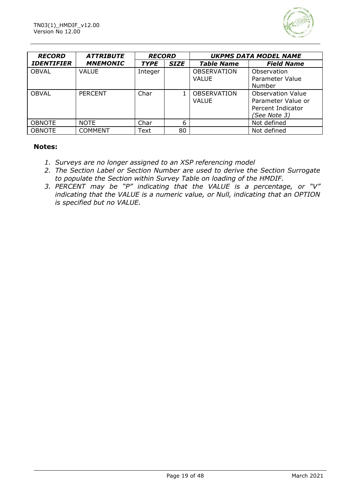

| <b>RECORD</b>     | <b>ATTRIBUTE</b> | <b>RECORD</b> |             |                                    | <b>UKPMS DATA MODEL NAME</b>                                                        |
|-------------------|------------------|---------------|-------------|------------------------------------|-------------------------------------------------------------------------------------|
| <b>IDENTIFIER</b> | <b>MNEMONIC</b>  | <b>TYPE</b>   | <b>SIZE</b> | <b>Table Name</b>                  | <b>Field Name</b>                                                                   |
| <b>OBVAL</b>      | <b>VALUE</b>     | Integer       |             | <b>OBSERVATION</b><br><b>VALUE</b> | Observation<br>Parameter Value<br>Number                                            |
| <b>OBVAL</b>      | <b>PERCENT</b>   | Char          |             | <b>OBSERVATION</b><br>VALUE        | <b>Observation Value</b><br>Parameter Value or<br>Percent Indicator<br>(See Note 3) |
| <b>OBNOTE</b>     | <b>NOTE</b>      | Char          | 6           |                                    | Not defined                                                                         |
| <b>OBNOTE</b>     | <b>COMMENT</b>   | Text          | 80          |                                    | Not defined                                                                         |

#### **Notes:**

- *1. Surveys are no longer assigned to an XSP referencing model*
- *2. The Section Label or Section Number are used to derive the Section Surrogate to populate the Section within Survey Table on loading of the HMDIF.*
- *3. PERCENT may be "P" indicating that the VALUE is a percentage, or "V" indicating that the VALUE is a numeric value, or Null, indicating that an OPTION is specified but no VALUE.*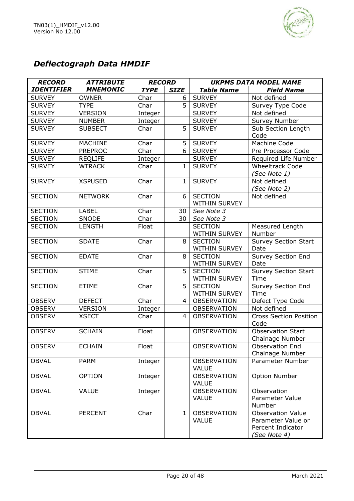

# *Deflectograph Data HMDIF*

| <b>RECORD</b>     | <b>ATTRIBUTE</b> | <b>RECORD</b> |                | <b>UKPMS DATA MODEL NAME</b>       |                                                                                     |
|-------------------|------------------|---------------|----------------|------------------------------------|-------------------------------------------------------------------------------------|
| <b>IDENTIFIER</b> | <b>MNEMONIC</b>  | <b>TYPE</b>   | <b>SIZE</b>    | <b>Table Name</b>                  | <b>Field Name</b>                                                                   |
| <b>SURVEY</b>     | <b>OWNER</b>     | Char          | 6              | <b>SURVEY</b>                      | Not defined                                                                         |
| <b>SURVEY</b>     | <b>TYPE</b>      | Char          | 5              | <b>SURVEY</b>                      | Survey Type Code                                                                    |
| <b>SURVEY</b>     | <b>VERSION</b>   | Integer       |                | <b>SURVEY</b>                      | Not defined                                                                         |
| <b>SURVEY</b>     | <b>NUMBER</b>    | Integer       |                | <b>SURVEY</b>                      | Survey Number                                                                       |
| <b>SURVEY</b>     | <b>SUBSECT</b>   | Char          | 5              | <b>SURVEY</b>                      | Sub Section Length<br>Code                                                          |
| <b>SURVEY</b>     | <b>MACHINE</b>   | Char          | 5              | <b>SURVEY</b>                      | Machine Code                                                                        |
| <b>SURVEY</b>     | <b>PREPROC</b>   | Char          | 6              | <b>SURVEY</b>                      | Pre Processor Code                                                                  |
| <b>SURVEY</b>     | <b>REQLIFE</b>   | Integer       |                | <b>SURVEY</b>                      | Required Life Number                                                                |
| <b>SURVEY</b>     | <b>WTRACK</b>    | Char          | $\mathbf{1}$   | <b>SURVEY</b>                      | <b>Wheeltrack Code</b><br>(See Note 1)                                              |
| <b>SURVEY</b>     | <b>XSPUSED</b>   | Char          | $\mathbf{1}$   | <b>SURVEY</b>                      | Not defined<br>(See Note 2)                                                         |
| <b>SECTION</b>    | <b>NETWORK</b>   | Char          | 6              | <b>SECTION</b><br>WITHIN SURVEY    | Not defined                                                                         |
| <b>SECTION</b>    | <b>LABEL</b>     | Char          | 30             | See Note 3                         |                                                                                     |
| <b>SECTION</b>    | SNODE            | Char          | 30             | See Note 3                         |                                                                                     |
| <b>SECTION</b>    | <b>LENGTH</b>    | Float         |                | <b>SECTION</b><br>WITHIN SURVEY    | Measured Length<br>Number                                                           |
| <b>SECTION</b>    | <b>SDATE</b>     | Char          | 8              | <b>SECTION</b><br>WITHIN SURVEY    | <b>Survey Section Start</b><br>Date                                                 |
| <b>SECTION</b>    | <b>EDATE</b>     | Char          | 8              | <b>SECTION</b><br>WITHIN SURVEY    | Survey Section End<br>Date                                                          |
| <b>SECTION</b>    | <b>STIME</b>     | Char          | 5              | <b>SECTION</b><br>WITHIN SURVEY    | Survey Section Start<br>Time                                                        |
| <b>SECTION</b>    | <b>ETIME</b>     | Char          | 5              | <b>SECTION</b><br>WITHIN SURVEY    | Survey Section End<br>Time                                                          |
| <b>OBSERV</b>     | <b>DEFECT</b>    | Char          | $\overline{4}$ | <b>OBSERVATION</b>                 | Defect Type Code                                                                    |
| <b>OBSERV</b>     | <b>VERSION</b>   | Integer       |                | <b>OBSERVATION</b>                 | Not defined                                                                         |
| <b>OBSERV</b>     | <b>XSECT</b>     | Char          | 4              | <b>OBSERVATION</b>                 | <b>Cross Section Position</b><br>Code                                               |
| <b>OBSERV</b>     | <b>SCHAIN</b>    | Float         |                | <b>OBSERVATION</b>                 | <b>Observation Start</b><br>Chainage Number                                         |
| OBSERV            | <b>ECHAIN</b>    | Float         |                | OBSERVATION                        | Observation End<br>Chainage Number                                                  |
| <b>OBVAL</b>      | <b>PARM</b>      | Integer       |                | <b>OBSERVATION</b><br><b>VALUE</b> | Parameter Number                                                                    |
| <b>OBVAL</b>      | <b>OPTION</b>    | Integer       |                | <b>OBSERVATION</b><br><b>VALUE</b> | Option Number                                                                       |
| <b>OBVAL</b>      | <b>VALUE</b>     | Integer       |                | <b>OBSERVATION</b><br><b>VALUE</b> | Observation<br>Parameter Value<br>Number                                            |
| <b>OBVAL</b>      | <b>PERCENT</b>   | Char          | $\mathbf{1}$   | <b>OBSERVATION</b><br><b>VALUE</b> | <b>Observation Value</b><br>Parameter Value or<br>Percent Indicator<br>(See Note 4) |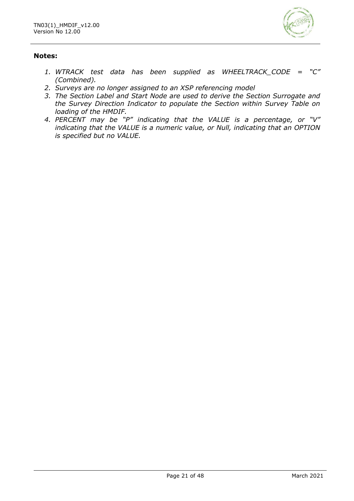

### **Notes:**

- *1. WTRACK test data has been supplied as WHEELTRACK\_CODE = "C" (Combined).*
- *2. Surveys are no longer assigned to an XSP referencing model*
- *3. The Section Label and Start Node are used to derive the Section Surrogate and the Survey Direction Indicator to populate the Section within Survey Table on loading of the HMDIF.*
- *4. PERCENT may be "P" indicating that the VALUE is a percentage, or "V" indicating that the VALUE is a numeric value, or Null, indicating that an OPTION is specified but no VALUE.*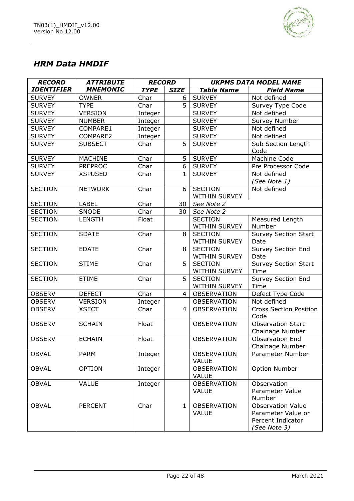

# *HRM Data HMDIF*

| <b>RECORD</b>     | <b>ATTRIBUTE</b> | <b>RECORD</b> |              | <b>UKPMS DATA MODEL NAME</b>       |                                                                                     |
|-------------------|------------------|---------------|--------------|------------------------------------|-------------------------------------------------------------------------------------|
| <b>IDENTIFIER</b> | <b>MNEMONIC</b>  | <b>TYPE</b>   | <b>SIZE</b>  | <b>Table Name</b>                  | <b>Field Name</b>                                                                   |
| <b>SURVEY</b>     | <b>OWNER</b>     | Char          | 6            | <b>SURVEY</b>                      | Not defined                                                                         |
| <b>SURVEY</b>     | <b>TYPE</b>      | Char          | 5            | <b>SURVEY</b>                      | Survey Type Code                                                                    |
| <b>SURVEY</b>     | <b>VERSION</b>   | Integer       |              | <b>SURVEY</b>                      | Not defined                                                                         |
| <b>SURVEY</b>     | <b>NUMBER</b>    | Integer       |              | <b>SURVEY</b>                      | <b>Survey Number</b>                                                                |
| <b>SURVEY</b>     | COMPARE1         | Integer       |              | <b>SURVEY</b>                      | Not defined                                                                         |
| <b>SURVEY</b>     | COMPARE2         | Integer       |              | <b>SURVEY</b>                      | Not defined                                                                         |
| <b>SURVEY</b>     | <b>SUBSECT</b>   | Char          | 5            | <b>SURVEY</b>                      | Sub Section Length<br>Code                                                          |
| <b>SURVEY</b>     | <b>MACHINE</b>   | Char          | 5            | <b>SURVEY</b>                      | Machine Code                                                                        |
| <b>SURVEY</b>     | <b>PREPROC</b>   | Char          | 6            | <b>SURVEY</b>                      | Pre Processor Code                                                                  |
| <b>SURVEY</b>     | <b>XSPUSED</b>   | Char          | 1            | <b>SURVEY</b>                      | Not defined<br>(See Note 1)                                                         |
| <b>SECTION</b>    | <b>NETWORK</b>   | Char          | 6            | <b>SECTION</b><br>WITHIN SURVEY    | Not defined                                                                         |
| <b>SECTION</b>    | <b>LABEL</b>     | Char          | 30           | See Note 2                         |                                                                                     |
| <b>SECTION</b>    | <b>SNODE</b>     | Char          | 30           | See Note 2                         |                                                                                     |
| <b>SECTION</b>    | <b>LENGTH</b>    | Float         |              | <b>SECTION</b><br>WITHIN SURVEY    | Measured Length<br>Number                                                           |
| <b>SECTION</b>    | <b>SDATE</b>     | Char          | 8            | <b>SECTION</b><br>WITHIN SURVEY    | <b>Survey Section Start</b><br>Date                                                 |
| <b>SECTION</b>    | <b>EDATE</b>     | Char          | 8            | <b>SECTION</b><br>WITHIN SURVEY    | Survey Section End<br>Date                                                          |
| <b>SECTION</b>    | <b>STIME</b>     | Char          | 5            | <b>SECTION</b><br>WITHIN SURVEY    | Survey Section Start<br>Time                                                        |
| <b>SECTION</b>    | <b>ETIME</b>     | Char          | 5            | <b>SECTION</b><br>WITHIN SURVEY    | <b>Survey Section End</b><br>Time                                                   |
| <b>OBSERV</b>     | <b>DEFECT</b>    | Char          | 4            | OBSERVATION                        | Defect Type Code                                                                    |
| <b>OBSERV</b>     | <b>VERSION</b>   | Integer       |              | <b>OBSERVATION</b>                 | Not defined                                                                         |
| <b>OBSERV</b>     | <b>XSECT</b>     | Char          | 4            | <b>OBSERVATION</b>                 | <b>Cross Section Position</b><br>Code                                               |
| <b>OBSERV</b>     | <b>SCHAIN</b>    | Float         |              | <b>OBSERVATION</b>                 | <b>Observation Start</b><br>Chainage Number                                         |
| <b>OBSERV</b>     | <b>ECHAIN</b>    | Float         |              | <b>OBSERVATION</b>                 | <b>Observation End</b><br>Chainage Number                                           |
| <b>OBVAL</b>      | <b>PARM</b>      | Integer       |              | <b>OBSERVATION</b><br><b>VALUE</b> | Parameter Number                                                                    |
| <b>OBVAL</b>      | <b>OPTION</b>    | Integer       |              | <b>OBSERVATION</b><br><b>VALUE</b> | Option Number                                                                       |
| <b>OBVAL</b>      | <b>VALUE</b>     | Integer       |              | <b>OBSERVATION</b><br><b>VALUE</b> | Observation<br>Parameter Value<br>Number                                            |
| <b>OBVAL</b>      | <b>PERCENT</b>   | Char          | $\mathbf{1}$ | <b>OBSERVATION</b><br><b>VALUE</b> | <b>Observation Value</b><br>Parameter Value or<br>Percent Indicator<br>(See Note 3) |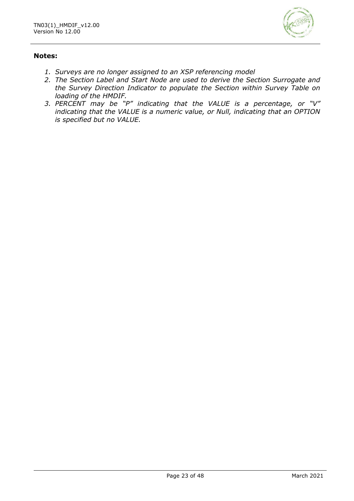

### **Notes:**

- *1. Surveys are no longer assigned to an XSP referencing model*
- *2. The Section Label and Start Node are used to derive the Section Surrogate and the Survey Direction Indicator to populate the Section within Survey Table on loading of the HMDIF.*
- *3. PERCENT may be "P" indicating that the VALUE is a percentage, or "V" indicating that the VALUE is a numeric value, or Null, indicating that an OPTION is specified but no VALUE.*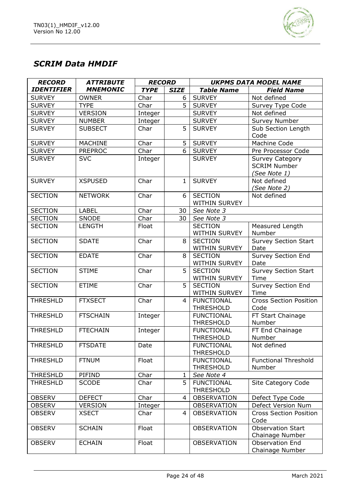

# *SCRIM Data HMDIF*

| <b>RECORD</b>     | <b>ATTRIBUTE</b> | <b>RECORD</b> |              | <b>UKPMS DATA MODEL NAME</b>          |                               |
|-------------------|------------------|---------------|--------------|---------------------------------------|-------------------------------|
| <b>IDENTIFIER</b> | <b>MNEMONIC</b>  | <b>TYPE</b>   | <b>SIZE</b>  | <b>Table Name</b>                     | <b>Field Name</b>             |
| <b>SURVEY</b>     | <b>OWNER</b>     | Char          | 6            | <b>SURVEY</b>                         | Not defined                   |
| <b>SURVEY</b>     | <b>TYPE</b>      | Char          | 5            | <b>SURVEY</b>                         | Survey Type Code              |
| <b>SURVEY</b>     | <b>VERSION</b>   | Integer       |              | <b>SURVEY</b>                         | Not defined                   |
| <b>SURVEY</b>     | <b>NUMBER</b>    | Integer       |              | <b>SURVEY</b>                         | Survey Number                 |
| <b>SURVEY</b>     | <b>SUBSECT</b>   | Char          | 5            | <b>SURVEY</b>                         | Sub Section Length            |
|                   |                  |               |              |                                       | Code                          |
| <b>SURVEY</b>     | <b>MACHINE</b>   | Char          | 5            | <b>SURVEY</b>                         | Machine Code                  |
| <b>SURVEY</b>     | <b>PREPROC</b>   | Char          | 6            | <b>SURVEY</b>                         | Pre Processor Code            |
| <b>SURVEY</b>     | <b>SVC</b>       | Integer       |              | <b>SURVEY</b>                         | <b>Survey Category</b>        |
|                   |                  |               |              |                                       | <b>SCRIM Number</b>           |
|                   |                  |               |              |                                       | (See Note 1)                  |
| <b>SURVEY</b>     | <b>XSPUSED</b>   | Char          | $\mathbf{1}$ | <b>SURVEY</b>                         | Not defined                   |
|                   |                  |               |              |                                       | (See Note 2)                  |
| <b>SECTION</b>    | <b>NETWORK</b>   | Char          | 6            | <b>SECTION</b>                        | Not defined                   |
|                   |                  |               |              | WITHIN SURVEY                         |                               |
| <b>SECTION</b>    | <b>LABEL</b>     | Char          | 30           | See Note 3                            |                               |
| <b>SECTION</b>    | SNODE            | Char          | 30           | See Note 3                            |                               |
| <b>SECTION</b>    | <b>LENGTH</b>    | Float         |              | <b>SECTION</b>                        | Measured Length               |
|                   |                  |               |              | WITHIN SURVEY                         | Number                        |
| <b>SECTION</b>    | <b>SDATE</b>     | Char          | 8            | <b>SECTION</b>                        | <b>Survey Section Start</b>   |
|                   |                  |               |              | WITHIN SURVEY                         | Date                          |
| <b>SECTION</b>    | <b>EDATE</b>     | Char          | 8            | <b>SECTION</b>                        | Survey Section End            |
|                   |                  |               |              | WITHIN SURVEY                         | Date                          |
| <b>SECTION</b>    | <b>STIME</b>     | Char          | 5            | <b>SECTION</b>                        | <b>Survey Section Start</b>   |
|                   |                  |               |              | WITHIN SURVEY                         | Time                          |
| <b>SECTION</b>    | <b>ETIME</b>     | Char          | 5            | <b>SECTION</b>                        | Survey Section End            |
|                   |                  |               |              | WITHIN SURVEY                         | Time                          |
| <b>THRESHLD</b>   | <b>FTXSECT</b>   | Char          | 4            | <b>FUNCTIONAL</b>                     | <b>Cross Section Position</b> |
|                   |                  |               |              | <b>THRESHOLD</b>                      | Code                          |
| <b>THRESHLD</b>   | <b>FTSCHAIN</b>  | Integer       |              | <b>FUNCTIONAL</b>                     | FT Start Chainage             |
|                   |                  |               |              | <b>THRESHOLD</b>                      | Number                        |
| <b>THRESHLD</b>   | <b>FTECHAIN</b>  | Integer       |              | <b>FUNCTIONAL</b>                     | FT End Chainage               |
| <b>THRESHLD</b>   | <b>FTSDATE</b>   |               |              | <b>THRESHOLD</b><br><b>FUNCTIONAL</b> | Number<br>Not defined         |
|                   |                  | Date          |              | <b>THRESHOLD</b>                      |                               |
| <b>THRESHLD</b>   | <b>FTNUM</b>     | Float         |              | <b>FUNCTIONAL</b>                     | <b>Functional Threshold</b>   |
|                   |                  |               |              | <b>THRESHOLD</b>                      | Number                        |
| <b>THRESHLD</b>   | PIFIND           | Char          | $\mathbf{1}$ | See Note 4                            |                               |
| <b>THRESHLD</b>   | <b>SCODE</b>     | Char          | 5            | <b>FUNCTIONAL</b>                     | Site Category Code            |
|                   |                  |               |              | <b>THRESHOLD</b>                      |                               |
| <b>OBSERV</b>     | <b>DEFECT</b>    | Char          | 4            | OBSERVATION                           | Defect Type Code              |
| <b>OBSERV</b>     | <b>VERSION</b>   | Integer       |              | <b>OBSERVATION</b>                    | Defect Version Num            |
| <b>OBSERV</b>     | <b>XSECT</b>     | Char          | 4            | <b>OBSERVATION</b>                    | <b>Cross Section Position</b> |
|                   |                  |               |              |                                       | Code                          |
| <b>OBSERV</b>     | <b>SCHAIN</b>    | Float         |              | <b>OBSERVATION</b>                    | <b>Observation Start</b>      |
|                   |                  |               |              |                                       | Chainage Number               |
| <b>OBSERV</b>     | <b>ECHAIN</b>    | Float         |              | <b>OBSERVATION</b>                    | Observation End               |
|                   |                  |               |              |                                       | Chainage Number               |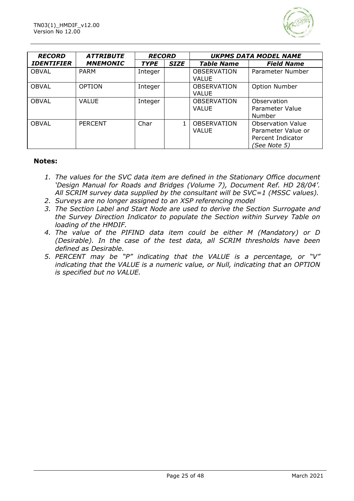

| <b>RECORD</b>     | <b>ATTRIBUTE</b> | <b>RECORD</b> |             | <b>UKPMS DATA MODEL NAME</b>       |                                                                                            |  |
|-------------------|------------------|---------------|-------------|------------------------------------|--------------------------------------------------------------------------------------------|--|
| <b>IDENTIFIER</b> | <b>MNEMONIC</b>  | <b>TYPE</b>   | <b>SIZE</b> | <b>Table Name</b>                  | <b>Field Name</b>                                                                          |  |
| <b>OBVAL</b>      | <b>PARM</b>      | Integer       |             | <b>OBSERVATION</b><br>VALUE        | Parameter Number                                                                           |  |
| <b>OBVAL</b>      | <b>OPTION</b>    | Integer       |             | OBSERVATION<br><b>VALUE</b>        | <b>Option Number</b>                                                                       |  |
| <b>OBVAL</b>      | <b>VALUE</b>     | Integer       |             | <b>OBSERVATION</b><br><b>VALUE</b> | Observation<br>Parameter Value<br>Number                                                   |  |
| OBVAL             | <b>PERCENT</b>   | Char          |             | <b>OBSERVATION</b><br>VALUE        | <b>Observation Value</b><br>Parameter Value or<br>Percent Indicator<br><i>(See Note 5)</i> |  |

#### **Notes:**

- *1. The values for the SVC data item are defined in the Stationary Office document 'Design Manual for Roads and Bridges (Volume 7), Document Ref. HD 28/04'. All SCRIM survey data supplied by the consultant will be SVC=1 (MSSC values).*
- *2. Surveys are no longer assigned to an XSP referencing model*
- *3. The Section Label and Start Node are used to derive the Section Surrogate and the Survey Direction Indicator to populate the Section within Survey Table on loading of the HMDIF.*
- *4. The value of the PIFIND data item could be either M (Mandatory) or D (Desirable). In the case of the test data, all SCRIM thresholds have been defined as Desirable.*
- *5. PERCENT may be "P" indicating that the VALUE is a percentage, or "V" indicating that the VALUE is a numeric value, or Null, indicating that an OPTION is specified but no VALUE.*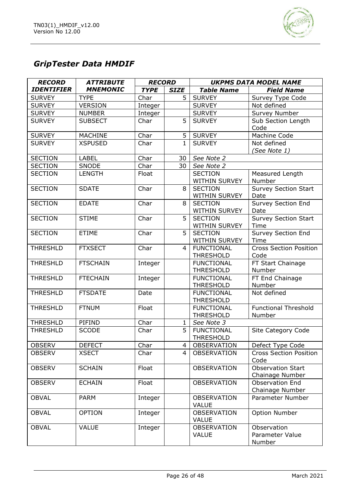

# *GripTester Data HMDIF*

| <b>RECORD</b>     | <b>ATTRIBUTE</b> | <b>RECORD</b> |                | <b>UKPMS DATA MODEL NAME</b>          |                               |  |
|-------------------|------------------|---------------|----------------|---------------------------------------|-------------------------------|--|
| <b>IDENTIFIER</b> | <b>MNEMONIC</b>  | <b>TYPE</b>   | <b>SIZE</b>    | <b>Table Name</b>                     | <b>Field Name</b>             |  |
| <b>SURVEY</b>     | <b>TYPE</b>      | Char          | 5              | <b>SURVEY</b>                         | Survey Type Code              |  |
| <b>SURVEY</b>     | <b>VERSION</b>   | Integer       |                | <b>SURVEY</b>                         | Not defined                   |  |
| <b>SURVEY</b>     | <b>NUMBER</b>    | Integer       |                | <b>SURVEY</b>                         | Survey Number                 |  |
| <b>SURVEY</b>     | <b>SUBSECT</b>   | Char          | 5              | <b>SURVEY</b>                         | Sub Section Length            |  |
|                   |                  |               |                |                                       | Code                          |  |
| <b>SURVEY</b>     | <b>MACHINE</b>   | Char          | 5              | <b>SURVEY</b>                         | Machine Code                  |  |
| <b>SURVEY</b>     | <b>XSPUSED</b>   | Char          | $\mathbf{1}$   | <b>SURVEY</b>                         | Not defined                   |  |
|                   |                  |               |                |                                       | (See Note 1)                  |  |
| <b>SECTION</b>    | <b>LABEL</b>     | Char          | 30             | See Note 2                            |                               |  |
| <b>SECTION</b>    | SNODE            | Char          | 30             | See Note 2                            |                               |  |
| <b>SECTION</b>    | <b>LENGTH</b>    | Float         |                | <b>SECTION</b>                        | Measured Length               |  |
|                   |                  |               |                | WITHIN SURVEY                         | Number                        |  |
| <b>SECTION</b>    | <b>SDATE</b>     | Char          | 8              | <b>SECTION</b>                        | Survey Section Start          |  |
|                   |                  |               |                | WITHIN SURVEY                         | Date                          |  |
| <b>SECTION</b>    | <b>EDATE</b>     | Char          | 8              | <b>SECTION</b>                        | <b>Survey Section End</b>     |  |
|                   |                  |               |                | WITHIN SURVEY                         | Date                          |  |
| <b>SECTION</b>    | <b>STIME</b>     | Char          | 5              | <b>SECTION</b>                        | <b>Survey Section Start</b>   |  |
|                   |                  |               |                | WITHIN SURVEY                         | Time                          |  |
| <b>SECTION</b>    | <b>ETIME</b>     | Char          | 5              | <b>SECTION</b>                        | Survey Section End            |  |
|                   |                  |               |                | <b>WITHIN SURVEY</b>                  | Time                          |  |
| <b>THRESHLD</b>   | <b>FTXSECT</b>   | Char          | $\overline{4}$ | <b>FUNCTIONAL</b>                     | <b>Cross Section Position</b> |  |
|                   |                  |               |                | <b>THRESHOLD</b>                      | Code                          |  |
| <b>THRESHLD</b>   | <b>FTSCHAIN</b>  | Integer       |                | <b>FUNCTIONAL</b>                     | FT Start Chainage             |  |
|                   |                  |               |                | <b>THRESHOLD</b>                      | Number                        |  |
| <b>THRESHLD</b>   | <b>FTECHAIN</b>  | Integer       |                | <b>FUNCTIONAL</b>                     | FT End Chainage               |  |
|                   |                  |               |                | <b>THRESHOLD</b>                      | Number                        |  |
| <b>THRESHLD</b>   | <b>FTSDATE</b>   | Date          |                | <b>FUNCTIONAL</b>                     | Not defined                   |  |
| <b>THRESHLD</b>   |                  | Float         |                | <b>THRESHOLD</b><br><b>FUNCTIONAL</b> | <b>Functional Threshold</b>   |  |
|                   | <b>FTNUM</b>     |               |                | <b>THRESHOLD</b>                      | Number                        |  |
| <b>THRESHLD</b>   | PIFIND           | Char          | $\mathbf{1}$   | See Note 3                            |                               |  |
| <b>THRESHLD</b>   | <b>SCODE</b>     | Char          | 5              | <b>FUNCTIONAL</b>                     | <b>Site Category Code</b>     |  |
|                   |                  |               |                | <b>THRESHOLD</b>                      |                               |  |
| <b>OBSERV</b>     | <b>DEFECT</b>    | Char          | $\overline{4}$ | OBSERVATION                           | Defect Type Code              |  |
| <b>OBSERV</b>     | <b>XSECT</b>     | Char          | 4              | <b>OBSERVATION</b>                    | <b>Cross Section Position</b> |  |
|                   |                  |               |                |                                       | Code                          |  |
| <b>OBSERV</b>     | <b>SCHAIN</b>    | Float         |                | <b>OBSERVATION</b>                    | <b>Observation Start</b>      |  |
|                   |                  |               |                |                                       | Chainage Number               |  |
| <b>OBSERV</b>     | <b>ECHAIN</b>    | Float         |                | <b>OBSERVATION</b>                    | Observation End               |  |
|                   |                  |               |                |                                       | Chainage Number               |  |
| <b>OBVAL</b>      | <b>PARM</b>      | Integer       |                | <b>OBSERVATION</b>                    | Parameter Number              |  |
|                   |                  |               |                | <b>VALUE</b>                          |                               |  |
| <b>OBVAL</b>      | <b>OPTION</b>    | Integer       |                | <b>OBSERVATION</b>                    | Option Number                 |  |
|                   |                  |               |                | <b>VALUE</b>                          |                               |  |
| <b>OBVAL</b>      | <b>VALUE</b>     | Integer       |                | <b>OBSERVATION</b>                    | Observation                   |  |
|                   |                  |               |                | <b>VALUE</b>                          | Parameter Value               |  |
|                   |                  |               |                |                                       | Number                        |  |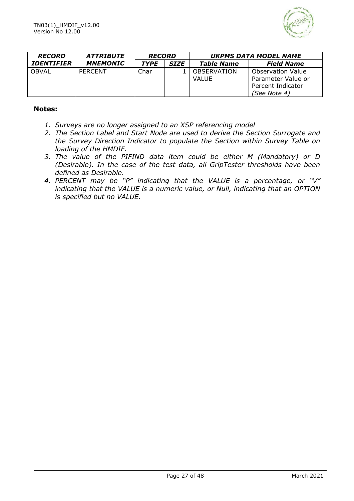

| <b>RECORD</b>            | <i><b>ATTRIBUTE</b></i> | <b>RECORD</b> |             | <b>UKPMS DATA MODEL NAME</b> |                          |  |
|--------------------------|-------------------------|---------------|-------------|------------------------------|--------------------------|--|
| <i><b>IDENTIFIER</b></i> | <b>MNEMONIC</b>         | <b>TYPE</b>   | <b>SIZE</b> | <b>Table Name</b>            | <b>Field Name</b>        |  |
| OBVAL                    | PERCENT                 | Char          |             | <b>OBSERVATION</b>           | <b>Observation Value</b> |  |
|                          |                         |               |             | VALUE                        | Parameter Value or       |  |
|                          |                         |               |             |                              | Percent Indicator        |  |
|                          |                         |               |             |                              | (See Note 4)             |  |

#### **Notes:**

- *1. Surveys are no longer assigned to an XSP referencing model*
- *2. The Section Label and Start Node are used to derive the Section Surrogate and the Survey Direction Indicator to populate the Section within Survey Table on loading of the HMDIF.*
- *3. The value of the PIFIND data item could be either M (Mandatory) or D (Desirable). In the case of the test data, all GripTester thresholds have been defined as Desirable.*
- *4. PERCENT may be "P" indicating that the VALUE is a percentage, or "V" indicating that the VALUE is a numeric value, or Null, indicating that an OPTION is specified but no VALUE.*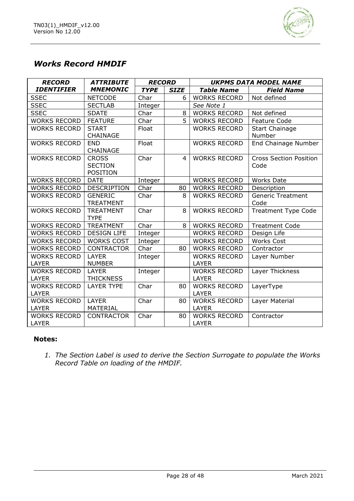

# *Works Record HMDIF*

| <b>RECORD</b>       | <b>ATTRIBUTE</b>   | <b>RECORD</b> |             | <b>UKPMS DATA MODEL NAME</b> |                               |  |
|---------------------|--------------------|---------------|-------------|------------------------------|-------------------------------|--|
| <b>IDENTIFIER</b>   | <b>MNEMONIC</b>    | <b>TYPE</b>   | <b>SIZE</b> | <b>Table Name</b>            | <b>Field Name</b>             |  |
| <b>SSEC</b>         | <b>NETCODE</b>     | Char          | 6           | <b>WORKS RECORD</b>          | Not defined                   |  |
| <b>SSEC</b>         | <b>SECTLAB</b>     | Integer       |             | See Note 1                   |                               |  |
| <b>SSEC</b>         | <b>SDATE</b>       | Char          | 8           | <b>WORKS RECORD</b>          | Not defined                   |  |
| <b>WORKS RECORD</b> | <b>FEATURE</b>     | Char          | 5           | <b>WORKS RECORD</b>          | Feature Code                  |  |
| <b>WORKS RECORD</b> | <b>START</b>       | Float         |             | <b>WORKS RECORD</b>          | <b>Start Chainage</b>         |  |
|                     | CHAINAGE           |               |             |                              | Number                        |  |
| <b>WORKS RECORD</b> | <b>END</b>         | Float         |             | <b>WORKS RECORD</b>          | End Chainage Number           |  |
|                     | CHAINAGE           |               |             |                              |                               |  |
| <b>WORKS RECORD</b> | <b>CROSS</b>       | Char          | 4           | <b>WORKS RECORD</b>          | <b>Cross Section Position</b> |  |
|                     | <b>SECTION</b>     |               |             |                              | Code                          |  |
|                     | POSITION           |               |             |                              |                               |  |
| <b>WORKS RECORD</b> | <b>DATE</b>        | Integer       |             | <b>WORKS RECORD</b>          | <b>Works Date</b>             |  |
| <b>WORKS RECORD</b> | <b>DESCRIPTION</b> | Char          | 80          | <b>WORKS RECORD</b>          | Description                   |  |
| <b>WORKS RECORD</b> | <b>GENERIC</b>     | Char          | 8           | <b>WORKS RECORD</b>          | <b>Generic Treatment</b>      |  |
|                     | <b>TREATMENT</b>   |               |             |                              | Code                          |  |
| <b>WORKS RECORD</b> | <b>TREATMENT</b>   | Char          | 8           | <b>WORKS RECORD</b>          | <b>Treatment Type Code</b>    |  |
|                     | <b>TYPE</b>        |               |             |                              |                               |  |
| <b>WORKS RECORD</b> | TREATMENT          | Char          | 8           | <b>WORKS RECORD</b>          | <b>Treatment Code</b>         |  |
| <b>WORKS RECORD</b> | <b>DESIGN LIFE</b> | Integer       |             | <b>WORKS RECORD</b>          | Design Life                   |  |
| <b>WORKS RECORD</b> | <b>WORKS COST</b>  | Integer       |             | <b>WORKS RECORD</b>          | <b>Works Cost</b>             |  |
| <b>WORKS RECORD</b> | <b>CONTRACTOR</b>  | Char          | 80          | <b>WORKS RECORD</b>          | Contractor                    |  |
| <b>WORKS RECORD</b> | <b>LAYER</b>       | Integer       |             | <b>WORKS RECORD</b>          | Layer Number                  |  |
| <b>LAYER</b>        | <b>NUMBER</b>      |               |             | <b>LAYER</b>                 |                               |  |
| <b>WORKS RECORD</b> | <b>LAYER</b>       | Integer       |             | <b>WORKS RECORD</b>          | Layer Thickness               |  |
| <b>LAYER</b>        | <b>THICKNESS</b>   |               |             | <b>LAYER</b>                 |                               |  |
| <b>WORKS RECORD</b> | <b>LAYER TYPE</b>  | Char          | 80          | <b>WORKS RECORD</b>          | LayerType                     |  |
| <b>LAYER</b>        |                    |               |             | <b>LAYER</b>                 |                               |  |
| <b>WORKS RECORD</b> | <b>LAYER</b>       | Char          | 80          | <b>WORKS RECORD</b>          | Layer Material                |  |
| <b>LAYER</b>        | MATERIAL           |               |             | <b>LAYER</b>                 |                               |  |
| <b>WORKS RECORD</b> | <b>CONTRACTOR</b>  | Char          | 80          | <b>WORKS RECORD</b>          | Contractor                    |  |
| LAYER               |                    |               |             | LAYER                        |                               |  |

#### **Notes:**

*1. The Section Label is used to derive the Section Surrogate to populate the Works Record Table on loading of the HMDIF.*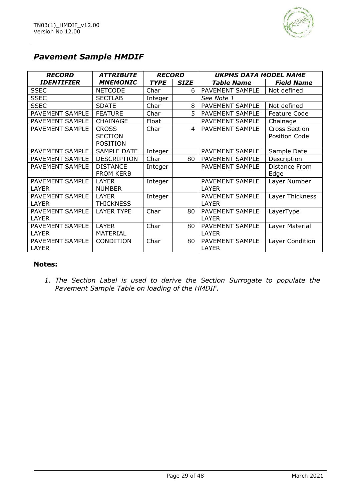

# *Pavement Sample HMDIF*

| <b>RECORD</b>          | <b>ATTRIBUTE</b>   | <b>RECORD</b> |             | <b>UKPMS DATA MODEL NAME</b> |                      |
|------------------------|--------------------|---------------|-------------|------------------------------|----------------------|
| <b>IDENTIFIER</b>      | <b>MNEMONIC</b>    | <b>TYPE</b>   | <b>SIZE</b> | <b>Table Name</b>            | <b>Field Name</b>    |
| <b>SSEC</b>            | <b>NETCODE</b>     | Char          | 6           | PAVEMENT SAMPLE              | Not defined          |
| <b>SSEC</b>            | <b>SECTLAB</b>     | Integer       |             | See Note 1                   |                      |
| <b>SSEC</b>            | <b>SDATE</b>       | Char          | 8           | PAVEMENT SAMPLE              | Not defined          |
| PAVEMENT SAMPLE        | <b>FEATURE</b>     | Char          | 5           | PAVEMENT SAMPLE              | Feature Code         |
| PAVEMENT SAMPLE        | CHAINAGE           | Float         |             | PAVEMENT SAMPLE              | Chainage             |
| PAVEMENT SAMPLE        | <b>CROSS</b>       | Char          | 4           | <b>PAVEMENT SAMPLE</b>       | <b>Cross Section</b> |
|                        | <b>SECTION</b>     |               |             |                              | <b>Position Code</b> |
|                        | <b>POSITION</b>    |               |             |                              |                      |
| PAVEMENT SAMPLE        | SAMPLE DATE        | Integer       |             | PAVEMENT SAMPLE              | Sample Date          |
| PAVEMENT SAMPLE        | <b>DESCRIPTION</b> | Char          | 80          | PAVEMENT SAMPLE              | Description          |
| PAVEMENT SAMPLE        | <b>DISTANCE</b>    | Integer       |             | <b>PAVEMENT SAMPLE</b>       | Distance From        |
|                        | <b>FROM KERB</b>   |               |             |                              | Edge                 |
| PAVEMENT SAMPLE        | LAYER              | Integer       |             | PAVEMENT SAMPLE              | Layer Number         |
| LAYER                  | <b>NUMBER</b>      |               |             | LAYER                        |                      |
| <b>PAVEMENT SAMPLE</b> | <b>LAYER</b>       | Integer       |             | <b>PAVEMENT SAMPLE</b>       | Layer Thickness      |
| <b>LAYER</b>           | <b>THICKNESS</b>   |               |             | <b>LAYER</b>                 |                      |
| PAVEMENT SAMPLE        | <b>LAYER TYPE</b>  | Char          | 80          | PAVEMENT SAMPLE              | LayerType            |
| <b>LAYER</b>           |                    |               |             | LAYER                        |                      |
| PAVEMENT SAMPLE        | <b>LAYER</b>       | Char          | 80          | PAVEMENT SAMPLE              | Layer Material       |
| <b>LAYER</b>           | <b>MATERIAL</b>    |               |             | <b>LAYER</b>                 |                      |
| PAVEMENT SAMPLE        | CONDITION          | Char          | 80          | PAVEMENT SAMPLE              | Layer Condition      |
| <b>LAYER</b>           |                    |               |             | <b>LAYER</b>                 |                      |

#### **Notes:**

*1. The Section Label is used to derive the Section Surrogate to populate the Pavement Sample Table on loading of the HMDIF.*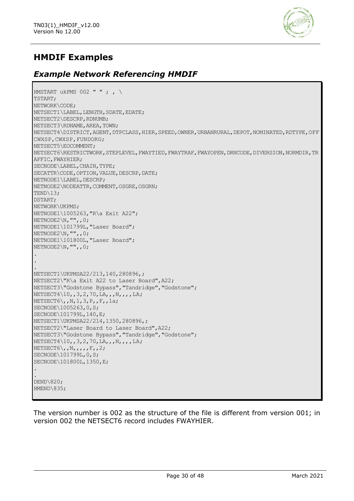

# **HMDIF Examples**

## *Example Network Referencing HMDIF*

```
HMSTART ukPMS 002 " " ; , \setminusTSTART;
NETWORK\CODE;
NETSECT1\LABEL, LENGTH, SDATE, EDATE;
NETSECT2\DESCRP,RDNUMB;
NETSECT3\RDNAME,AREA,TOWN;
NETSECT4\DISTRICT,AGENT,DTPCLASS,HIER,SPEED,OWNER,URBANRURAL,DEPOT,NOMINATED,RDTYPE,OFF
CWXSP, FUNDORG;
NETSECT5\EOCOMMENT;
NETSECT6\RESTRICTWORK, STEPLEVEL, FWAYTIED, FWAYTRAF, FWAYOPEN, DRNCODE, DIVERSION, NORMDIR, TR
AFFIC,FWAYHIER;
SECNODE\LABEL, CHAIN, TYPE;
SECATTR\CODE, OPTION, VALUE, DESCRP, DATE;
NETNODE1\LABEL, DESCRP;
NETNODE2\NODEATTR, COMMENT, OSGRE, OSGRN;
TEND\13;
DSTART;
NETWORK\UKPMS;
NETNODE1\1005263,"R\a Exit A22";
NETNODE2\N,"",,0;
NETNODE1\101799L,"Laser Board";
NETNODE2\N,"",,0;
NETNODE1\101800L,"Laser Board";
NETNODE2\N,"",,0;
.
.
.
NETSECT1\UKPMSA22/213,140,280896,;
NETSECT2\"R\a Exit A22 to Laser Board",A22;
NETSECT3\"Godstone Bypass","Tandridge","Godstone";
NETSECT4\10,,3,2,70,LA,,,N,,,,LA;
NETSECT6\,,N,1,3,P,,F,,1a;
SECNODE\1005263,0,S;
SECNODE\101799L,140,E;
NETSECT1\UKPMSA22/214,1350,280896,;
NETSECT2\"Laser Board to Laser Board",A22;
NETSECT3\"Godstone Bypass","Tandridge","Godstone";
NETSECT4\10,,3,2,70,LA,,,N,,,,LA;
NETSECT6\,,N,,,,,F,,2;
SECNODE\101799L,0,S;
SECNODE\101800L,1350,E;
.
.
DEND\820;
HMEND\835;
```
The version number is 002 as the structure of the file is different from version 001; in version 002 the NETSECT6 record includes FWAYHIER.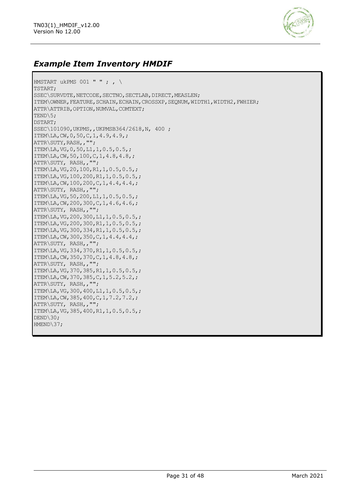

### *Example Item Inventory HMDIF*

```
HMSTART ukPMS 001 " " ; , \setminusTSTART;
SSEC\SURVDTE, NETCODE, SECTNO, SECTLAB, DIRECT, MEASLEN;
ITEM\OWNER,FEATURE,SCHAIN,ECHAIN,CROSSXP,SEQNUM,WIDTH1,WIDTH2,FWHIER;
ATTR\ATTRIB,OPTION,NUMVAL,COMTEXT;
TEND\5;
DSTART;
SSEC\101090,UKPMS,,UKPMSB364/2618,N, 400 ;
ITEM\LA,CW,0,50,C,1,4.9,4.9,;
ATTR\SUTY,RASH,,"";
ITEM\LA,VG,0,50,L1,1,0.5,0.5,;
ITEM\LA,CW,50,100,C,1,4.8,4.8,;
ATTR\SUTY, RASH,,"";
ITEM\LA,VG,20,100,R1,1,0.5,0.5,;
ITEM\LA,VG,100,200,R1,1,0.5,0.5,;
ITEM\LA,CW,100,200,C,1,4.4,4.4,;
ATTR\SUTY, RASH,,"";
ITEM\LA,VG,50,200,L1,1,0.5,0.5,;
ITEM\LA,CW,200,300,C,1,4.6,4.6,;
ATTR\SUTY, RASH,,"";
ITEM\LA,VG,200,300,L1,1,0.5,0.5,;
ITEM\LA,VG,200,300,R1,1,0.5,0.5,;
ITEM\LA,VG,300,334,R1,1,0.5,0.5,;
ITEM\LA,CW,300,350,C,1,4.4,4.4,;
ATTR\SUTY, RASH,,"";
ITEM\LA,VG,334,370,R1,1,0.5,0.5,;
ITEM\LA,CW,350,370,C,1,4.8,4.8,;
ATTR\SUTY, RASH,,"";
ITEM\LA,VG,370,385,R1,1,0.5,0.5,;
ITEM\LA,CW,370,385,C,1,5.2,5.2,;
ATTR\SUTY, RASH,,"";
ITEM\LA,VG,300,400,L1,1,0.5,0.5,;
ITEM\LA,CW,385,400,C,1,7.2,7.2,;
ATTR\SUTY, RASH,,"";
ITEM\LA,VG,385,400,R1,1,0.5,0.5,;
DEND\30;
HMEND\37;
```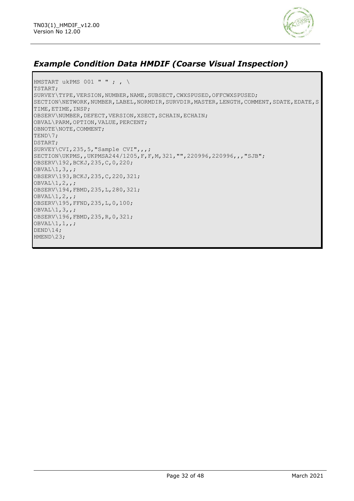

### *Example Condition Data HMDIF (Coarse Visual Inspection)*

HMSTART ukPMS 001 " " ; ,  $\setminus$ TSTART; SURVEY\TYPE,VERSION,NUMBER,NAME,SUBSECT,CWXSPUSED,OFFCWXSPUSED; SECTION\NETWORK,NUMBER,LABEL,NORMDIR,SURVDIR,MASTER,LENGTH,COMMENT,SDATE,EDATE,S TIME,ETIME,INSP; OBSERV\NUMBER,DEFECT,VERSION,XSECT,SCHAIN,ECHAIN; OBVAL\PARM,OPTION,VALUE,PERCENT; OBNOTE\NOTE,COMMENT; TEND\7; DSTART; SURVEY\CVI,235,5,"Sample CVI",,,; SECTION\UKPMS,,UKPMSA244/1205,F,F,M,321,"",220996,220996,,,"SJB"; OBSERV\192,BCKJ,235,C,0,220;  $OBVAL\1,3,7;$ OBSERV\193,BCKJ,235,C,220,321; OBVAL $\backslash1,2,$ ,; OBSERV\194,FBMD,235,L,280,321; OBVAL $\backslash1,2,$ ,; OBSERV\195,FFND,235,L,0,100; OBVAL $\1,3,7$ OBSERV\196,FBMD,235,R,0,321;  $O$ BVAL $\1,1,1,$ ; DEND\14; HMEND\23;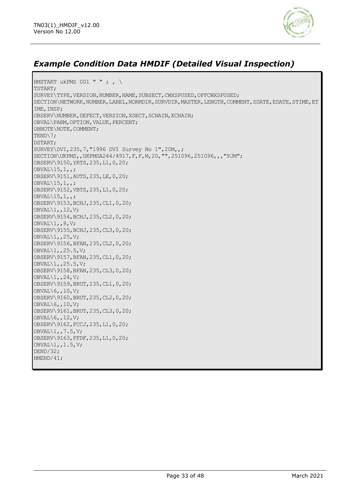

# *Example Condition Data HMDIF (Detailed Visual Inspection)*

HMSTART ukPMS 001 " " ; ,  $\setminus$ TSTART; SURVEY\TYPE,VERSION,NUMBER,NAME,SUBSECT,CWXSPUSED,OFFCWXSPUSED; SECTION\NETWORK,NUMBER,LABEL,NORMDIR,SURVDIR,MASTER,LENGTH,COMMENT,SDATE,EDATE,STIME,ET IME,INSP; OBSERV\NUMBER, DEFECT, VERSION, XSECT, SCHAIN, ECHAIN; OBVAL\PARM,OPTION,VALUE,PERCENT; OBNOTE\NOTE,COMMENT; TEND\7; DSTART; SURVEY\DVI,235,7,"1996 DVI Survey No 1",20M,,; SECTION\UKPMS,,UKPMSA244/4917, F, F, M, 20, "", 251096, 251096,,, "PJM"; OBSERV\9150,YKTS,235,L1,0,20; OBVAL $\15,1,$ OBSERV\9151,AUTS,235,LE,0,20; OBVAL $\backslash$ 15,1,; OBSERV\9152,VBTS,235,L1,0,20;  $OBVAL\15,1,$ OBSERV\9153,BCHJ,235,CL1,0,20; OBVAL $\setminus1$ , 12, V; OBSERV\9154,BCHJ,235,CL2,0,20;  $OBVAL\1, 8, V;$ OBSERV\9155,BCHJ,235,CL3,0,20;  $OBVAL\1, 25, V;$ OBSERV\9156,BFAN,235,CL2,0,20;  $OBVAL\1, 25.5, V;$ OBSERV\9157,BFAN,235,CL1,0,20; OBVAL\1,,25.5,V; OBSERV\9158,BFAN,235,CL3,0,20; OBVAL\1,,24,V; OBSERV\9159,BRUT,235,CL1,0,20; OBVAL\6,,10,V; OBSERV\9160,BRUT,235,CL2,0,20; OBVAL\6,,10,V; OBSERV\9161,BRUT,235,CL3,0,20; OBVAL\6,,12,V; OBSERV\9162,FCCJ,235,L1,0,20; OBVAL\1,,7.5,V; OBSERV\9163,FFDF,235,L1,0,20;  $OBVAL\1,1.5,V;$ DEND/32; HMEND/41;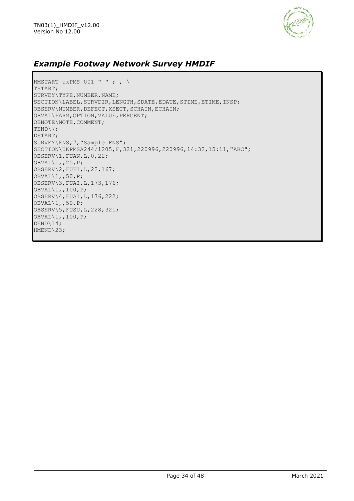

# *Example Footway Network Survey HMDIF*

HMSTART ukPMS 001 " " ; ,  $\setminus$ TSTART; SURVEY\TYPE,NUMBER,NAME; SECTION\LABEL,SURVDIR,LENGTH,SDATE,EDATE,STIME,ETIME,INSP; OBSERV\NUMBER,DEFECT,XSECT,SCHAIN,ECHAIN; OBVAL\PARM,OPTION,VALUE,PERCENT; OBNOTE\NOTE,COMMENT; TEND\7; DSTART; SURVEY\FNS,7,"Sample FNS"; SECTION\UKPMSA244/1205,F,321,220996,220996,14:32,15:11,"ABC"; OBSERV\1,FUAN,L,0,22; OBVAL\1,,25,P; OBSERV\2,FUFI,L,22,167; OBVAL\1,,50,P; OBSERV\3,FUAI,L,173,176; OBVAL\1,,100,P; OBSERV\4,FUAI,L,176,222; OBVAL\1,,50,P; OBSERV\5,FUSU,L,228,321; OBVAL\1,,100,P; DEND\14; HMEND\23;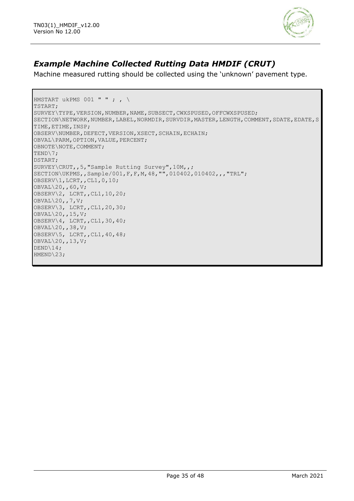

# *Example Machine Collected Rutting Data HMDIF (CRUT)*

Machine measured rutting should be collected using the 'unknown' pavement type.

```
HMSTART ukPMS 001 " " ; , \setminusTSTART;
SURVEY\TYPE, VERSION, NUMBER, NAME, SUBSECT, CWXSPUSED, OFFCWXSPUSED;
SECTION\NETWORK,NUMBER,LABEL,NORMDIR,SURVDIR,MASTER,LENGTH,COMMENT,SDATE,EDATE,S
TIME,ETIME,INSP;
OBSERV\NUMBER,DEFECT,VERSION,XSECT,SCHAIN,ECHAIN;
OBVAL\PARM,OPTION,VALUE,PERCENT;
OBNOTE\NOTE,COMMENT;
TEND\7;
DSTART;
SURVEY\CRUT,,5,"Sample Rutting Survey",10M,,;
SECTION\UKPMS,,Sample/001,F,F,M,48,"",010402,010402,,,"TRL";
OBSERV\1,LCRT,,CL1,0,10;
OBVAL\20,,60,V;
OBSERV\2, LCRT,,CL1,10,20;
OBVAL\20,,7,V;
OBSERV\3, LCRT,,CL1,20,30;
OBVAL\20,,15,V;
OBSERV\4, LCRT,,CL1,30,40;
OBVAL\20,,38,V;
OBSERV\5, LCRT,,CL1,40,48;
OBVAL\20,,13,V;
DEND\14;
HMEND\23;
```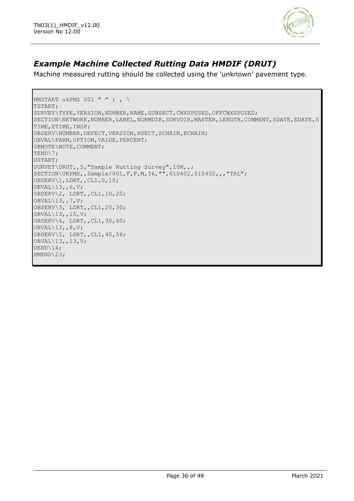

# *Example Machine Collected Rutting Data HMDIF (DRUT)*

Machine measured rutting should be collected using the 'unknown' pavement type.

```
HMSTART ukPMS 001 " " ; , \setminusTSTART;
SURVEY\TYPE, VERSION, NUMBER, NAME, SUBSECT, CWXSPUSED, OFFCWXSPUSED;
SECTION\NETWORK,NUMBER,LABEL,NORMDIR,SURVDIR,MASTER,LENGTH,COMMENT,SDATE,EDATE,S
TIME,ETIME,INSP;
OBSERV\NUMBER,DEFECT,VERSION,XSECT,SCHAIN,ECHAIN;
OBVAL\PARM,OPTION,VALUE,PERCENT;
OBNOTE\NOTE,COMMENT;
TEND\7;
DSTART;
SURVEY\DRUT,,5,"Sample Rutting Survey",10M,,;
SECTION\UKPMS,,Sample/001,F,F,M,56,"",010402,010402,,,"TRL";
OBSERV\1,LDRT,,CL1,0,10;
OBVAL\13,,6,V;
OBSERV\2, LDRT,,CL1,10,20;
OBVAL\13,,7,V;
OBSERV\3, LDRT,,CL1,20,30;
OBVAL\13,,15,V;
OBSERV\4, LDRT,,CL1,30,40;
OBVAL\13,,8,V;
OBSERV\5, LDRT,,CL1,40,56;
OBVAL\13,,13,V;
DEND\14;
HMEND\23;
```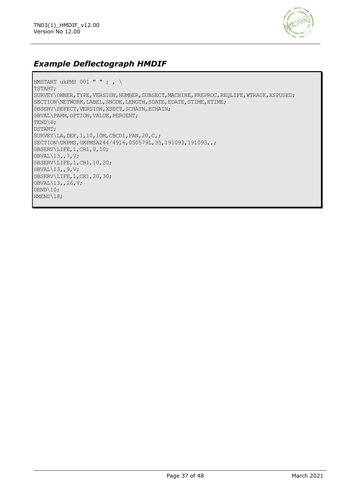

# *Example Deflectograph HMDIF*

```
HMSTART ukPMS 001 " " ; , \setminusTSTART;
SURVEY\OWNER, TYPE, VERSION, NUMBER, SUBSECT, MACHINE, PREPROC, REQLIFE, WTRACK, XSPUSED;
SECTION\NETWORK, LABEL, SNODE, LENGTH, SDATE, EDATE, STIME, ETIME;
OBSERV\DEFECT,VERSION,XSECT,SCHAIN,ECHAIN;
OBVAL\PARM,OPTION,VALUE,PERCENT;
TEND\6;
DSTART;
SURVEY\LA,DEF,1,10,10M,CBCD1,PAN,20,C,;
SECTION\UKPMS,UKPMSA244/4916,050579L,35,191093,191093,,;
OBSERV\LIFE,1,CR1,0,10;
OBVAL\13,,7,V;
OBSERV\LIFE,1,CR1,10,20;
OBVAL\13,,9,V;
OBSERV\LIFE,1,CR1,20,30;
OBVAL\13,,26,V;
DEND\10;
HMEND\18;
```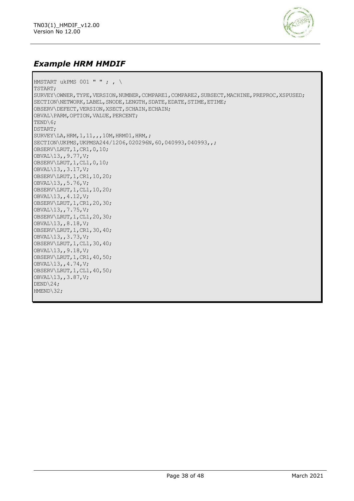

### *Example HRM HMDIF*

HMSTART ukPMS 001 " " ; ,  $\setminus$ TSTART; SURVEY\OWNER,TYPE,VERSION,NUMBER,COMPARE1,COMPARE2,SUBSECT,MACHINE,PREPROC,XSPUSED; SECTION\NETWORK, LABEL, SNODE, LENGTH, SDATE, EDATE, STIME, ETIME; OBSERV\DEFECT,VERSION,XSECT,SCHAIN,ECHAIN; OBVAL\PARM,OPTION,VALUE,PERCENT; TEND\6: DSTART; SURVEY\LA, HRM, 1, 11, , , 10M, HRM01, HRM, ; SECTION\UKPMS, UKPMSA244/1206, 020296N, 60, 040993, 040993,,; OBSERV\LRUT,1,CR1,0,10; OBVAL\13,,9.77,V; OBSERV\LRUT,1,CL1,0,10; OBVAL\13,,3.17,V; OBSERV\LRUT,1,CR1,10,20; OBVAL\13,,5.76,V; OBSERV\LRUT,1,CL1,10,20; OBVAL\13,,4.12,V; OBSERV\LRUT,1,CR1,20,30; OBVAL\13,,7.75,V; OBSERV\LRUT,1,CL1,20,30; OBVAL\13,,8.18,V; OBSERV\LRUT,1,CR1,30,40; OBVAL\13,,3.73,V; OBSERV\LRUT,1,CL1,30,40; OBVAL\13,,9.18,V; OBSERV\LRUT,1,CR1,40,50; OBVAL\13,,4.74,V; OBSERV\LRUT,1,CL1,40,50; OBVAL\13,,3.87,V; DEND\24; HMEND\32;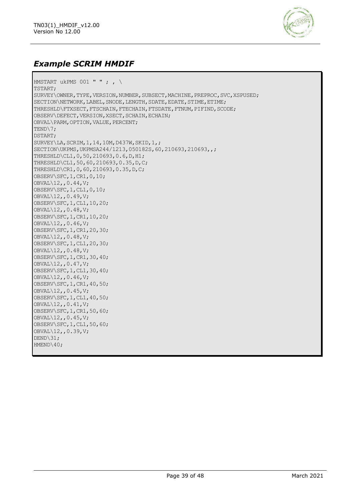

### *Example SCRIM HMDIF*

HMSTART ukPMS 001 " " ; ,  $\setminus$ TSTART; SURVEY\OWNER,TYPE,VERSION,NUMBER,SUBSECT,MACHINE,PREPROC,SVC,XSPUSED; SECTION\NETWORK, LABEL, SNODE, LENGTH, SDATE, EDATE, STIME, ETIME; THRESHLD\FTXSECT, FTSCHAIN, FTECHAIN, FTSDATE, FTNUM, PIFIND, SCODE; OBSERV\DEFECT, VERSION, XSECT, SCHAIN, ECHAIN; OBVAL\PARM,OPTION,VALUE,PERCENT; TEND\7; DSTART; SURVEY\LA,SCRIM,1,14,10M,D437W,SKID,1,; SECTION\UKPMS, UKPMSA244/1213,050182S, 60, 210693, 210693,,; THRESHLD\CL1,0,50,210693,0.6,D,H1; THRESHLD\CL1,50,60,210693,0.35,D,C; THRESHLD\CR1,0,60,210693,0.35,D,C; OBSERV\SFC,1,CR1,0,10; OBVAL\12,,0.44,V; OBSERV\SFC,1,CL1,0,10; OBVAL\12,,0.49,V; OBSERV\SFC,1,CL1,10,20; OBVAL\12,,0.48,V; OBSERV\SFC,1,CR1,10,20; OBVAL\12,,0.46,V; OBSERV\SFC,1,CR1,20,30; OBVAL\12,,0.48,V; OBSERV\SFC,1,CL1,20,30; OBVAL\12,,0.48,V; OBSERV\SFC,1,CR1,30,40; OBVAL\12,,0.47,V; OBSERV\SFC,1,CL1,30,40; OBVAL\12,,0.46,V; OBSERV\SFC,1,CR1,40,50; OBVAL\12,,0.45,V; OBSERV\SFC,1,CL1,40,50; OBVAL\12,,0.41,V; OBSERV\SFC,1,CR1,50,60; OBVAL\12,,0.45,V; OBSERV\SFC,1,CL1,50,60; OBVAL\12,,0.39,V; DEND\31; HMEND\40;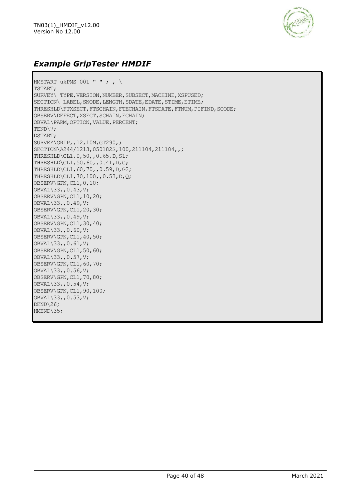

### *Example GripTester HMDIF*

HMSTART ukPMS 001 " " ; ,  $\setminus$ TSTART; SURVEY\ TYPE, VERSION, NUMBER, SUBSECT, MACHINE, XSPUSED; SECTION\ LABEL, SNODE, LENGTH, SDATE, EDATE, STIME, ETIME; THRESHLD\FTXSECT, FTSCHAIN, FTECHAIN, FTSDATE, FTNUM, PIFIND, SCODE; OBSERV\DEFECT,XSECT,SCHAIN,ECHAIN; OBVAL\PARM,OPTION,VALUE,PERCENT; TEND\7; DSTART; SURVEY\GRIP,,12,10M,GT290,; SECTION\A244/1213,050182S,100,211104,211104,,; THRESHLD\CL1,0,50,,0.65,D,S1; THRESHLD\CL1,50,60,,0.41,D,C; THRESHLD\CL1,60,70,,0.59,D,G2; THRESHLD\CL1,70,100,,0.53,D,Q; OBSERV\GPN,CL1,0,10; OBVAL\33,,0.43,V; OBSERV\GPN,CL1,10,20; OBVAL\33,,0.49,V; OBSERV\GPN,CL1,20,30; OBVAL\33,,0.49,V; OBSERV\GPN,CL1,30,40; OBVAL\33,,0.60,V; OBSERV\GPN,CL1,40,50; OBVAL\33,,0.61,V; OBSERV\GPN,CL1,50,60; OBVAL\33,,0.57,V; OBSERV\GPN,CL1,60,70; OBVAL\33,,0.56,V; OBSERV\GPN,CL1,70,80; OBVAL\33,,0.54,V; OBSERV\GPN,CL1,90,100; OBVAL\33,,0.53,V; DEND\26; HMEND\35: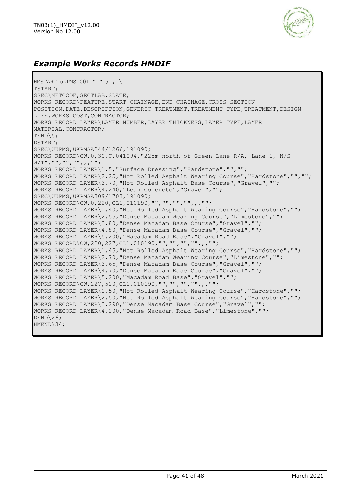

### *Example Works Records HMDIF*

HMSTART ukPMS  $001$  " " ; , \ TSTART; SSEC\NETCODE, SECTLAB, SDATE; WORKS RECORD\FEATURE,START CHAINAGE,END CHAINAGE,CROSS SECTION POSITION, DATE, DESCRIPTION, GENERIC TREATMENT, TREATMENT TYPE, TREATMENT, DESIGN LIFE, WORKS COST, CONTRACTOR; WORKS RECORD LAYER\LAYER NUMBER,LAYER THICKNESS,LAYER TYPE,LAYER MATERIAL,CONTRACTOR; TEND\5; DSTART; SSEC\UKPMS,UKPMSA244/1266,191090; WORKS RECORD\CW,0,30,C,041094,"225m north of Green Lane R/A, Lane 1, N/S W/T", "", "", "", , , ""; WORKS RECORD LAYER\1,5,"Surface Dressing","Hardstone","",""; WORKS RECORD LAYER\2,25,"Hot Rolled Asphalt Wearing Course","Hardstone","",""; WORKS RECORD LAYER\3,70,"Hot Rolled Asphalt Base Course","Gravel",""; WORKS RECORD LAYER\4,240,"Lean Concrete","Gravel",""; SSEC\UKPMS,UKPMSA309/1703,191090; WORKS RECORD\CW,0,220,CL1,010190,"","","","",,,""; WORKS RECORD LAYER\1,40,"Hot Rolled Asphalt Wearing Course","Hardstone",""; WORKS RECORD LAYER\2,55,"Dense Macadam Wearing Course","Limestone",""; WORKS RECORD LAYER\3,80,"Dense Macadam Base Course","Gravel",""; WORKS RECORD LAYER\4,80,"Dense Macadam Base Course","Gravel",""; WORKS RECORD LAYER\5,200,"Macadam Road Base","Gravel",""; WORKS RECORD\CW,220,227,CL1,010190,"","","","",,,""; WORKS RECORD LAYER\1,45,"Hot Rolled Asphalt Wearing Course","Hardstone",""; WORKS RECORD LAYER\2,70,"Dense Macadam Wearing Course","Limestone",""; WORKS RECORD LAYER\3,65,"Dense Macadam Base Course","Gravel",""; WORKS RECORD LAYER\4,70,"Dense Macadam Base Course","Gravel",""; WORKS RECORD LAYER\5,200,"Macadam Road Base","Gravel",""; WORKS RECORD\CW,227,510,CL1,010190,"","","","",,,""; WORKS RECORD LAYER\1,50,"Hot Rolled Asphalt Wearing Course","Hardstone",""; WORKS RECORD LAYER\2,50,"Hot Rolled Asphalt Wearing Course","Hardstone",""; WORKS RECORD LAYER\3,290,"Dense Macadam Base Course","Gravel",""; WORKS RECORD LAYER\4,200,"Dense Macadam Road Base","Limestone",""; DEND\26; HMEND\34;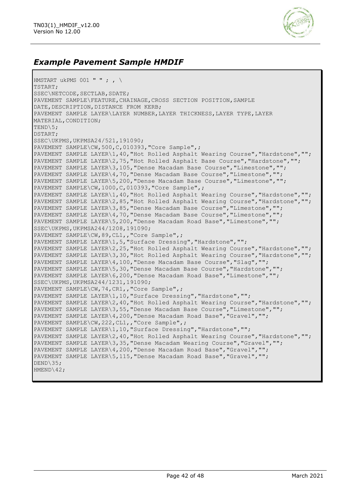

### *Example Pavement Sample HMDIF*

```
HMSTART ukPMS 001 " " ; , \setminusTSTART;
SSEC\NETCODE, SECTLAB, SDATE;
PAVEMENT SAMPLE\FEATURE, CHAINAGE, CROSS SECTION POSITION, SAMPLE
DATE, DESCRIPTION, DISTANCE FROM KERB;
PAVEMENT SAMPLE LAYER\LAYER NUMBER,LAYER THICKNESS,LAYER TYPE,LAYER 
MATERIAL,CONDITION;
TEND\5;
DSTART;
SSEC\UKPMS,UKPMSA24/521,191090;
PAVEMENT SAMPLE\CW,500,C,010393,"Core Sample",;
PAVEMENT SAMPLE LAYER\1,40,"Hot Rolled Asphalt Wearing Course","Hardstone","";
PAVEMENT SAMPLE LAYER\2,75, "Hot Rolled Asphalt Base Course", "Hardstone", "";
PAVEMENT SAMPLE LAYER\3,105,"Dense Macadam Base Course","Limestone","";
PAVEMENT SAMPLE LAYER\4,70, "Dense Macadam Base Course", "Limestone", "";
PAVEMENT SAMPLE LAYER\5,200,"Dense Macadam Base Course","Limestone","";
PAVEMENT SAMPLE\CW,1000,C,010393,"Core Sample",;
PAVEMENT SAMPLE LAYER\1,40, "Hot Rolled Asphalt Wearing Course", "Hardstone", "";
PAVEMENT SAMPLE LAYER\2,85,"Hot Rolled Asphalt Wearing Course","Hardstone","";
PAVEMENT SAMPLE LAYER\3,85,"Dense Macadam Base Course","Limestone","";
PAVEMENT SAMPLE LAYER\4,70,"Dense Macadam Base Course","Limestone","";
PAVEMENT SAMPLE LAYER\5,200,"Dense Macadam Road Base","Limestone","";
SSEC\UKPMS,UKPMSA244/1208,191090;
PAVEMENT SAMPLE\CW, 89, CL1,, "Core Sample", ;
PAVEMENT SAMPLE LAYER\1, 5, "Surface Dressing", "Hardstone", "";
PAVEMENT SAMPLE LAYER\2,25,"Hot Rolled Asphalt Wearing Course","Hardstone","";
PAVEMENT SAMPLE LAYER\3,30,"Hot Rolled Asphalt Wearing Course","Hardstone","";
PAVEMENT SAMPLE LAYER\4,100,"Dense Macadam Base Course","Slag","";
PAVEMENT SAMPLE LAYER\5,30,"Dense Macadam Base Course","Hardstone","";
PAVEMENT SAMPLE LAYER\6,200,"Dense Macadam Road Base","Limestone","";
SSEC\UKPMS,UKPMSA244/1231,191090;
PAVEMENT SAMPLE\CW,74,CR1,,"Core Sample",;
PAVEMENT SAMPLE LAYER\1, 10, "Surface Dressing", "Hardstone", "";
PAVEMENT SAMPLE LAYER\2,40,"Hot Rolled Asphalt Wearing Course","Hardstone","";
PAVEMENT SAMPLE LAYER\3,55,"Dense Macadam Base Course","Limestone","";
PAVEMENT SAMPLE LAYER\4,200,"Dense Macadam Road Base","Gravel","";
PAVEMENT SAMPLE\CW, 222, CL1,, "Core Sample", ;
PAVEMENT SAMPLE LAYER\1,10,"Surface Dressing","Hardstone","";
PAVEMENT SAMPLE LAYER\2,40,"Hot Rolled Asphalt Wearing Course","Hardstone","";
PAVEMENT SAMPLE LAYER\3,35,"Dense Macadam Wearing Course","Gravel","";
PAVEMENT SAMPLE LAYER\4,200,"Dense Macadam Road Base","Gravel","";
PAVEMENT SAMPLE LAYER\5,115,"Dense Macadam Road Base","Gravel","";
DEND\35;
HMEND\42;
```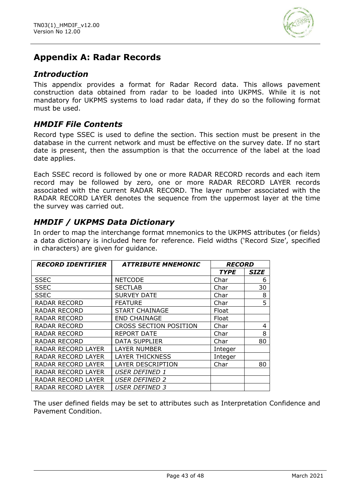

# **Appendix A: Radar Records**

### *Introduction*

This appendix provides a format for Radar Record data. This allows pavement construction data obtained from radar to be loaded into UKPMS. While it is not mandatory for UKPMS systems to load radar data, if they do so the following format must be used.

### *HMDIF File Contents*

Record type SSEC is used to define the section. This section must be present in the database in the current network and must be effective on the survey date. If no start date is present, then the assumption is that the occurrence of the label at the load date applies.

Each SSEC record is followed by one or more RADAR RECORD records and each item record may be followed by zero, one or more RADAR RECORD LAYER records associated with the current RADAR RECORD. The layer number associated with the RADAR RECORD LAYER denotes the sequence from the uppermost layer at the time the survey was carried out.

### *HMDIF / UKPMS Data Dictionary*

In order to map the interchange format mnemonics to the UKPMS attributes (or fields) a data dictionary is included here for reference. Field widths ('Record Size', specified in characters) are given for guidance.

| <b>RECORD IDENTIFIER</b> | <b>ATTRIBUTE MNEMONIC</b>     | <b>RECORD</b> |             |
|--------------------------|-------------------------------|---------------|-------------|
|                          |                               | <b>TYPE</b>   | <b>SIZE</b> |
| <b>SSEC</b>              | <b>NETCODE</b>                | Char          | 6           |
| <b>SSEC</b>              | <b>SECTLAB</b>                | Char          | 30          |
| <b>SSEC</b>              | <b>SURVEY DATE</b>            | Char          | 8           |
| <b>RADAR RECORD</b>      | <b>FEATURE</b>                | Char          | 5           |
| <b>RADAR RECORD</b>      | <b>START CHAINAGE</b>         | Float         |             |
| <b>RADAR RECORD</b>      | <b>END CHAINAGE</b>           | Float         |             |
| RADAR RECORD             | <b>CROSS SECTION POSITION</b> | Char          | 4           |
| <b>RADAR RECORD</b>      | <b>REPORT DATE</b>            | Char          | 8           |
| <b>RADAR RECORD</b>      | <b>DATA SUPPLIER</b>          | Char          | 80          |
| RADAR RECORD LAYER       | LAYER NUMBER                  | Integer       |             |
| RADAR RECORD LAYER       | <b>LAYER THICKNESS</b>        | Integer       |             |
| RADAR RECORD LAYER       | <b>LAYER DESCRIPTION</b>      | Char          | 80          |
| RADAR RECORD LAYER       | <b>USER DEFINED 1</b>         |               |             |
| RADAR RECORD LAYER       | USER DEFINED 2                |               |             |
| RADAR RECORD LAYER       | USER DEFINED 3                |               |             |

The user defined fields may be set to attributes such as Interpretation Confidence and Pavement Condition.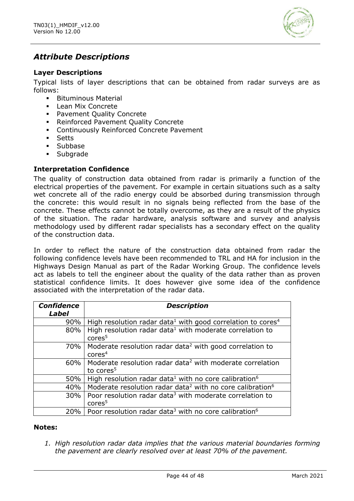

### *Attribute Descriptions*

#### **Layer Descriptions**

Typical lists of layer descriptions that can be obtained from radar surveys are as follows:

- **•** Bituminous Material
- Lean Mix Concrete
- Pavement Quality Concrete
- **Reinforced Pavement Quality Concrete**
- Continuously Reinforced Concrete Pavement
- Setts
- Subbase
- Subgrade

#### **Interpretation Confidence**

The quality of construction data obtained from radar is primarily a function of the electrical properties of the pavement. For example in certain situations such as a salty wet concrete all of the radio energy could be absorbed during transmission through the concrete: this would result in no signals being reflected from the base of the concrete. These effects cannot be totally overcome, as they are a result of the physics of the situation. The radar hardware, analysis software and survey and analysis methodology used by different radar specialists has a secondary effect on the quality of the construction data.

In order to reflect the nature of the construction data obtained from radar the following confidence levels have been recommended to TRL and HA for inclusion in the Highways Design Manual as part of the Radar Working Group. The confidence levels act as labels to tell the engineer about the quality of the data rather than as proven statistical confidence limits. It does however give some idea of the confidence associated with the interpretation of the radar data.

| <b>Confidence</b><br><b>Label</b> | <b>Description</b>                                                                         |
|-----------------------------------|--------------------------------------------------------------------------------------------|
| 90%                               | High resolution radar data <sup>1</sup> with good correlation to cores <sup>4</sup>        |
| 80%                               | High resolution radar data <sup>1</sup> with moderate correlation to<br>cores <sup>5</sup> |
| 70% l                             | Moderate resolution radar data <sup>2</sup> with good correlation to<br>$\text{cores}^4$   |
| 60%                               | Moderate resolution radar data <sup>2</sup> with moderate correlation<br>to cores $5$      |
| 50%                               | High resolution radar data <sup>1</sup> with no core calibration <sup>6</sup>              |
| 40%                               | Moderate resolution radar data <sup>2</sup> with no core calibration <sup>6</sup>          |
| 30%                               | Poor resolution radar data <sup>3</sup> with moderate correlation to<br>cores <sup>5</sup> |
|                                   | $20\%$   Poor resolution radar data <sup>3</sup> with no core calibration <sup>6</sup>     |

#### **Notes:**

*1. High resolution radar data implies that the various material boundaries forming the pavement are clearly resolved over at least 70% of the pavement.*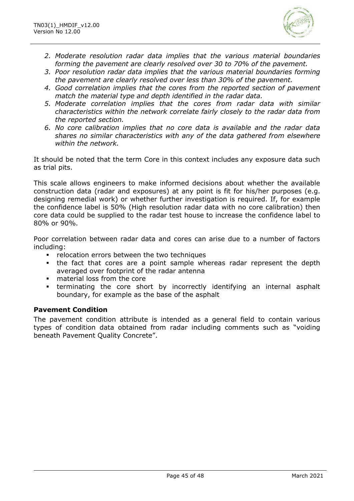

- *2. Moderate resolution radar data implies that the various material boundaries forming the pavement are clearly resolved over 30 to 70% of the pavement.*
- *3. Poor resolution radar data implies that the various material boundaries forming the pavement are clearly resolved over less than 30% of the pavement.*
- *4. Good correlation implies that the cores from the reported section of pavement match the material type and depth identified in the radar data.*
- *5. Moderate correlation implies that the cores from radar data with similar characteristics within the network correlate fairly closely to the radar data from the reported section.*
- *6. No core calibration implies that no core data is available and the radar data shares no similar characteristics with any of the data gathered from elsewhere within the network.*

It should be noted that the term Core in this context includes any exposure data such as trial pits.

This scale allows engineers to make informed decisions about whether the available construction data (radar and exposures) at any point is fit for his/her purposes (e.g. designing remedial work) or whether further investigation is required. If, for example the confidence label is 50% (High resolution radar data with no core calibration) then core data could be supplied to the radar test house to increase the confidence label to 80% or 90%.

Poor correlation between radar data and cores can arise due to a number of factors including:

- relocation errors between the two techniques
- **.** the fact that cores are a point sample whereas radar represent the depth averaged over footprint of the radar antenna
- material loss from the core
- terminating the core short by incorrectly identifying an internal asphalt boundary, for example as the base of the asphalt

#### **Pavement Condition**

The pavement condition attribute is intended as a general field to contain various types of condition data obtained from radar including comments such as "voiding beneath Pavement Quality Concrete".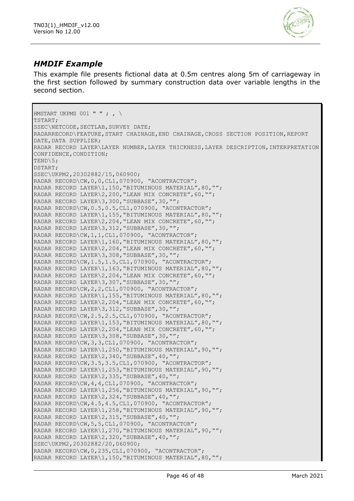

### *HMDIF Example*

This example file presents fictional data at 0.5m centres along 5m of carriageway in the first section followed by summary construction data over variable lengths in the second section.

```
HMSTART UKPMS 001 " " ; , \setminusTSTART;
SSEC\NETCODE, SECTLAB, SURVEY DATE;
RADARRECORD\FEATURE, START CHAINAGE, END CHAINAGE, CROSS SECTION POSITION, REPORT
DATE, DATA SUPPLIER;
RADAR RECORD LAYER\LAYER NUMBER,LAYER THICKNESS,LAYER DESCRIPTION,INTERPRETATION 
CONFIDENCE,CONDITION;
TEND\5;
DSTART;
SSEC\UKPM2,20302882/15,060900;
RADAR RECORD\CW,0,0,CL1,070900, "ACONTRACTOR";
RADAR RECORD LAYER\1,150, "BITUMINOUS MATERIAL", 80, "";
RADAR RECORD LAYER\2, 200, "LEAN MIX CONCRETE", 60, "";
RADAR RECORD LAYER\3,300,"SUBBASE",30,"";
RADAR RECORD\CW,0.5,0.5,CL1,070900, "ACONTRACTOR";
RADAR RECORD LAYER\1,155,"BITUMINOUS MATERIAL",80,"";
RADAR RECORD LAYER\2, 204, "LEAN MIX CONCRETE", 60, "";
RADAR RECORD LAYER\3,312,"SUBBASE",30,"";
RADAR RECORD\CW,1,1,CL1,070900, "ACONTRACTOR";
RADAR RECORD LAYER\1,160,"BITUMINOUS MATERIAL",80,"";
RADAR RECORD LAYER\2, 204, "LEAN MIX CONCRETE", 60, "";
RADAR RECORD LAYER\3,308,"SUBBASE",30,"";
RADAR RECORD\CW,1.5,1.5,CL1,070900, "ACONTRACTOR";
RADAR RECORD LAYER\1,163,"BITUMINOUS MATERIAL",80,"";
RADAR RECORD LAYER\2, 204, "LEAN MIX CONCRETE", 60, "";
RADAR RECORD LAYER\3,307,"SUBBASE",30,"";
RADAR RECORD\CW,2,2,CL1,070900, "ACONTRACTOR";
RADAR RECORD LAYER\1,155,"BITUMINOUS MATERIAL",80,"";
RADAR RECORD LAYER\2,204,"LEAN MIX CONCRETE",60,"";
RADAR RECORD LAYER\3,312,"SUBBASE",30,"";
RADAR RECORD\CW,2.5,2.5,CL1,070900, "ACONTRACTOR";
RADAR RECORD LAYER\1,153,"BITUMINOUS MATERIAL",80,"";
RADAR RECORD LAYER\2,204, "LEAN MIX CONCRETE", 60, "";
RADAR RECORD LAYER\3,308,"SUBBASE",30,"";
RADAR RECORD\CW,3,3,CL1,070900, "ACONTRACTOR";
RADAR RECORD LAYER\1,250,"BITUMINOUS MATERIAL",90,"";
RADAR RECORD LAYER\2,340,"SUBBASE",40,"";
RADAR RECORD\CW,3.5,3.5,CL1,070900, "ACONTRACTOR";
RADAR RECORD LAYER\1,253,"BITUMINOUS MATERIAL",90,"";
RADAR RECORD LAYER\2,335,"SUBBASE",40,"";
RADAR RECORD\CW,4,4,CL1,070900, "ACONTRACTOR";
RADAR RECORD LAYER\1,256,"BITUMINOUS MATERIAL",90,"";
RADAR RECORD LAYER\2,324, "SUBBASE", 40, "";
RADAR RECORD\CW, 4.5, 4.5, CL1,070900, "ACONTRACTOR";
RADAR RECORD LAYER\1,258, "BITUMINOUS MATERIAL", 90, "";
RADAR RECORD LAYER\2, 315, "SUBBASE", 40, "";
RADAR RECORD\CW, 5, 5, CL1,070900, "ACONTRACTOR";
RADAR RECORD LAYER\1,270, "BITUMINOUS MATERIAL", 90, "";
RADAR RECORD LAYER\2, 320, "SUBBASE", 40, "";
SSEC\UKPM2,20302882/20,060900;
RADAR RECORD\CW, 0, 235, CL1,070900, "ACONTRACTOR";
RADAR RECORD LAYER\1,150,"BITUMINOUS MATERIAL",80,"";
```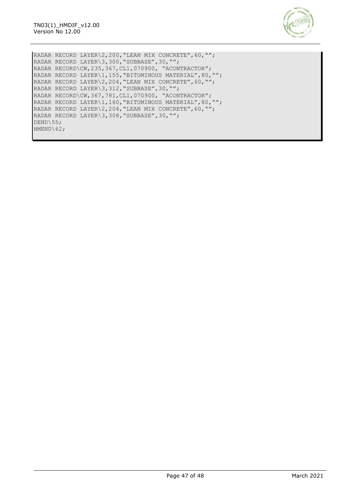

RADAR RECORD LAYER\2, 200, "LEAN MIX CONCRETE", 60, ""; RADAR RECORD LAYER\3,300,"SUBBASE",30,""; RADAR RECORD\CW,235,367,CL1,070900, "ACONTRACTOR"; RADAR RECORD LAYER\1,155,"BITUMINOUS MATERIAL",80,""; RADAR RECORD LAYER\2, 204, "LEAN MIX CONCRETE", 60, ""; RADAR RECORD LAYER\3, 312, "SUBBASE", 30, ""; RADAR RECORD\CW, 367, 781, CL1, 070900, "ACONTRACTOR"; RADAR RECORD LAYER\1,160,"BITUMINOUS MATERIAL",80,""; RADAR RECORD LAYER\2, 204, "LEAN MIX CONCRETE", 60, ""; RADAR RECORD LAYER\3,308,"SUBBASE",30,""; DEND\55; HMEND\62;